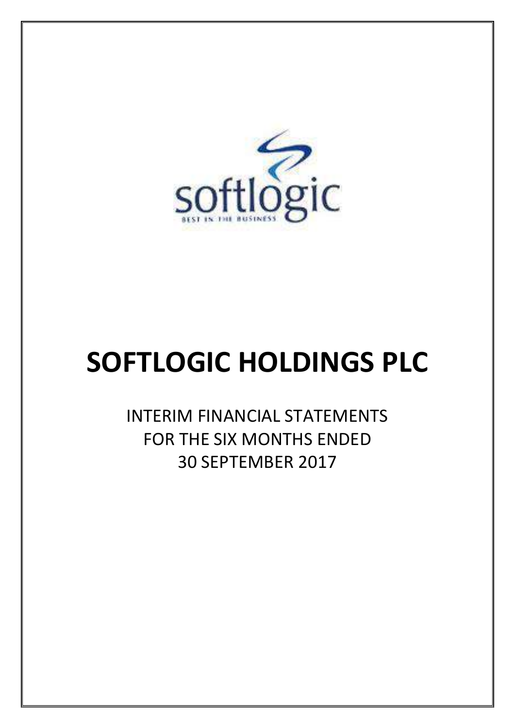

# **SOFTLOGIC HOLDINGS PLC**

INTERIM FINANCIAL STATEMENTS FOR THE SIX MONTHS ENDED 30 SEPTEMBER 2017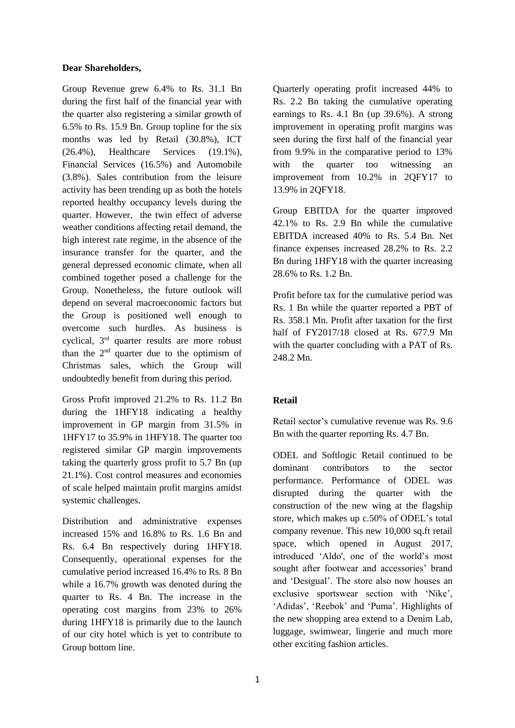#### **Dear Shareholders,**

Group Revenue grew 6.4% to Rs. 31.1 Bn during the first half of the financial year with the quarter also registering a similar growth of 6.5% to Rs. 15.9 Bn. Group topline for the six months was led by Retail (30.8%), ICT (26.4%), Healthcare Services (19.1%), Financial Services (16.5%) and Automobile (3.8%). Sales contribution from the leisure activity has been trending up as both the hotels reported healthy occupancy levels during the quarter. However, the twin effect of adverse weather conditions affecting retail demand, the high interest rate regime, in the absence of the insurance transfer for the quarter, and the general depressed economic climate, when all combined together posed a challenge for the Group. Nonetheless, the future outlook will depend on several macroeconomic factors but the Group is positioned well enough to overcome such hurdles. As business is cyclical, 3rd quarter results are more robust than the  $2<sup>nd</sup>$  quarter due to the optimism of Christmas sales, which the Group will undoubtedly benefit from during this period.

Gross Profit improved 21.2% to Rs. 11.2 Bn during the 1HFY18 indicating a healthy improvement in GP margin from 31.5% in 1HFY17 to 35.9% in 1HFY18. The quarter too registered similar GP margin improvements taking the quarterly gross profit to 5.7 Bn (up 21.1%). Cost control measures and economies of scale helped maintain profit margins amidst systemic challenges.

Distribution and administrative expenses increased 15% and 16.8% to Rs. 1.6 Bn and Rs. 6.4 Bn respectively during 1HFY18. Consequently, operational expenses for the cumulative period increased 16.4% to Rs. 8 Bn while a 16.7% growth was denoted during the quarter to Rs. 4 Bn. The increase in the operating cost margins from 23% to 26% during 1HFY18 is primarily due to the launch of our city hotel which is yet to contribute to Group bottom line.

Quarterly operating profit increased 44% to Rs. 2.2 Bn taking the cumulative operating earnings to Rs. 4.1 Bn (up 39.6%). A strong improvement in operating profit margins was seen during the first half of the financial year from 9.9% in the comparative period to 13% with the quarter too witnessing an improvement from 10.2% in 2QFY17 to 13.9% in 2QFY18.

Group EBITDA for the quarter improved 42.1% to Rs. 2.9 Bn while the cumulative EBITDA increased 40% to Rs. 5.4 Bn. Net finance expenses increased 28.2% to Rs. 2.2 Bn during 1HFY18 with the quarter increasing 28.6% to Rs. 1.2 Bn.

Profit before tax for the cumulative period was Rs. 1 Bn while the quarter reported a PBT of Rs. 358.1 Mn. Profit after taxation for the first half of FY2017/18 closed at Rs. 677.9 Mn with the quarter concluding with a PAT of Rs. 248.2 Mn.

### **Retail**

Retail sector's cumulative revenue was Rs. 9.6 Bn with the quarter reporting Rs. 4.7 Bn.

ODEL and Softlogic Retail continued to be dominant contributors to the sector performance. Performance of ODEL was disrupted during the quarter with the construction of the new wing at the flagship store, which makes up c.50% of ODEL's total company revenue. This new 10,000 sq.ft retail space, which opened in August 2017, introduced 'Aldo', one of the world's most sought after footwear and accessories' brand and 'Desigual'. The store also now houses an exclusive sportswear section with 'Nike', 'Adidas', 'Reebok' and 'Puma'. Highlights of the new shopping area extend to a Denim Lab, luggage, swimwear, lingerie and much more other exciting fashion articles.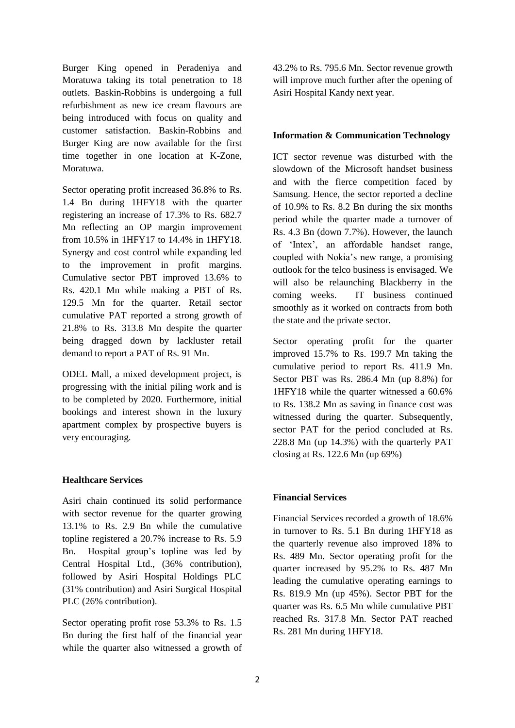Burger King opened in Peradeniya and Moratuwa taking its total penetration to 18 outlets. Baskin-Robbins is undergoing a full refurbishment as new ice cream flavours are being introduced with focus on quality and customer satisfaction. Baskin-Robbins and Burger King are now available for the first time together in one location at K-Zone, Moratuwa.

Sector operating profit increased 36.8% to Rs. 1.4 Bn during 1HFY18 with the quarter registering an increase of 17.3% to Rs. 682.7 Mn reflecting an OP margin improvement from 10.5% in 1HFY17 to 14.4% in 1HFY18. Synergy and cost control while expanding led to the improvement in profit margins. Cumulative sector PBT improved 13.6% to Rs. 420.1 Mn while making a PBT of Rs. 129.5 Mn for the quarter. Retail sector cumulative PAT reported a strong growth of 21.8% to Rs. 313.8 Mn despite the quarter being dragged down by lackluster retail demand to report a PAT of Rs. 91 Mn.

ODEL Mall, a mixed development project, is progressing with the initial piling work and is to be completed by 2020. Furthermore, initial bookings and interest shown in the luxury apartment complex by prospective buyers is very encouraging.

#### **Healthcare Services**

Asiri chain continued its solid performance with sector revenue for the quarter growing 13.1% to Rs. 2.9 Bn while the cumulative topline registered a 20.7% increase to Rs. 5.9 Bn. Hospital group's topline was led by Central Hospital Ltd., (36% contribution), followed by Asiri Hospital Holdings PLC (31% contribution) and Asiri Surgical Hospital PLC (26% contribution).

Sector operating profit rose 53.3% to Rs. 1.5 Bn during the first half of the financial year while the quarter also witnessed a growth of 43.2% to Rs. 795.6 Mn. Sector revenue growth will improve much further after the opening of Asiri Hospital Kandy next year.

#### **Information & Communication Technology**

ICT sector revenue was disturbed with the slowdown of the Microsoft handset business and with the fierce competition faced by Samsung. Hence, the sector reported a decline of 10.9% to Rs. 8.2 Bn during the six months period while the quarter made a turnover of Rs. 4.3 Bn (down 7.7%). However, the launch of 'Intex', an affordable handset range, coupled with Nokia's new range, a promising outlook for the telco business is envisaged. We will also be relaunching Blackberry in the coming weeks. IT business continued smoothly as it worked on contracts from both the state and the private sector.

Sector operating profit for the quarter improved 15.7% to Rs. 199.7 Mn taking the cumulative period to report Rs. 411.9 Mn. Sector PBT was Rs. 286.4 Mn (up 8.8%) for 1HFY18 while the quarter witnessed a 60.6% to Rs. 138.2 Mn as saving in finance cost was witnessed during the quarter. Subsequently, sector PAT for the period concluded at Rs. 228.8 Mn (up 14.3%) with the quarterly PAT closing at Rs. 122.6 Mn (up 69%)

#### **Financial Services**

Financial Services recorded a growth of 18.6% in turnover to Rs. 5.1 Bn during 1HFY18 as the quarterly revenue also improved 18% to Rs. 489 Mn. Sector operating profit for the quarter increased by 95.2% to Rs. 487 Mn leading the cumulative operating earnings to Rs. 819.9 Mn (up 45%). Sector PBT for the quarter was Rs. 6.5 Mn while cumulative PBT reached Rs. 317.8 Mn. Sector PAT reached Rs. 281 Mn during 1HFY18.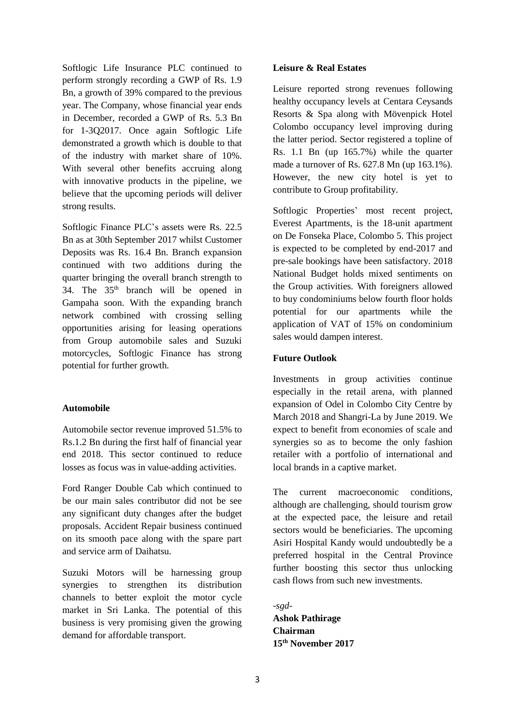Softlogic Life Insurance PLC continued to perform strongly recording a GWP of Rs. 1.9 Bn, a growth of 39% compared to the previous year. The Company, whose financial year ends in December, recorded a GWP of Rs. 5.3 Bn for 1-3Q2017. Once again Softlogic Life demonstrated a growth which is double to that of the industry with market share of 10%. With several other benefits accruing along with innovative products in the pipeline, we believe that the upcoming periods will deliver strong results.

Softlogic Finance PLC's assets were Rs. 22.5 Bn as at 30th September 2017 whilst Customer Deposits was Rs. 16.4 Bn. Branch expansion continued with two additions during the quarter bringing the overall branch strength to 34. The 35th branch will be opened in Gampaha soon. With the expanding branch network combined with crossing selling opportunities arising for leasing operations from Group automobile sales and Suzuki motorcycles, Softlogic Finance has strong potential for further growth.

#### **Automobile**

Automobile sector revenue improved 51.5% to Rs.1.2 Bn during the first half of financial year end 2018. This sector continued to reduce losses as focus was in value-adding activities.

Ford Ranger Double Cab which continued to be our main sales contributor did not be see any significant duty changes after the budget proposals. Accident Repair business continued on its smooth pace along with the spare part and service arm of Daihatsu.

Suzuki Motors will be harnessing group synergies to strengthen its distribution channels to better exploit the motor cycle market in Sri Lanka. The potential of this business is very promising given the growing demand for affordable transport.

#### **Leisure & Real Estates**

Leisure reported strong revenues following healthy occupancy levels at Centara Ceysands Resorts & Spa along with Mövenpick Hotel Colombo occupancy level improving during the latter period. Sector registered a topline of Rs. 1.1 Bn (up 165.7%) while the quarter made a turnover of Rs. 627.8 Mn (up 163.1%). However, the new city hotel is yet to contribute to Group profitability.

Softlogic Properties' most recent project, Everest Apartments, is the 18-unit apartment on De Fonseka Place, Colombo 5. This project is expected to be completed by end-2017 and pre-sale bookings have been satisfactory. 2018 National Budget holds mixed sentiments on the Group activities. With foreigners allowed to buy condominiums below fourth floor holds potential for our apartments while the application of VAT of 15% on condominium sales would dampen interest.

#### **Future Outlook**

Investments in group activities continue especially in the retail arena, with planned expansion of Odel in Colombo City Centre by March 2018 and Shangri-La by June 2019. We expect to benefit from economies of scale and synergies so as to become the only fashion retailer with a portfolio of international and local brands in a captive market.

The current macroeconomic conditions, although are challenging, should tourism grow at the expected pace, the leisure and retail sectors would be beneficiaries. The upcoming Asiri Hospital Kandy would undoubtedly be a preferred hospital in the Central Province further boosting this sector thus unlocking cash flows from such new investments.

-*sgd-***Ashok Pathirage Chairman 15 th November 2017**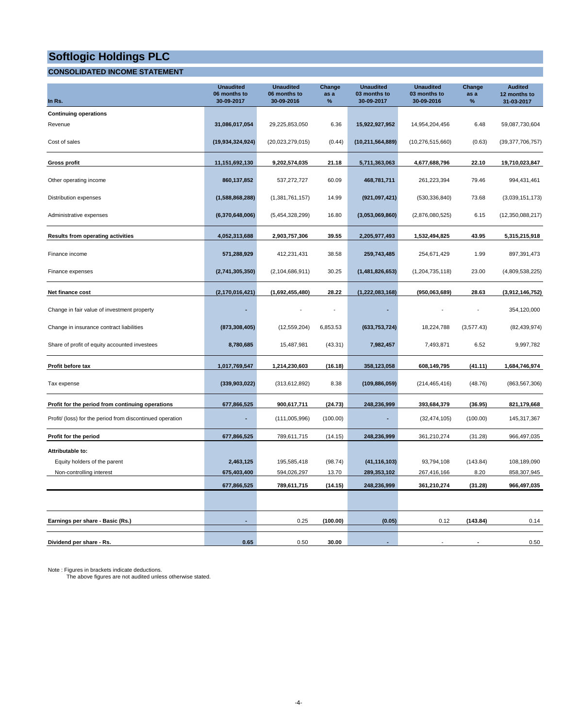#### **CONSOLIDATED INCOME STATEMENT**

| In Rs.                                                    | <b>Unaudited</b><br>06 months to<br>30-09-2017 | <b>Unaudited</b><br>06 months to<br>30-09-2016 | Change<br>as a<br>$\%$ | <b>Unaudited</b><br>03 months to<br>30-09-2017 | <b>Unaudited</b><br>03 months to<br>30-09-2016 | Change<br>as a<br>% | <b>Audited</b><br>12 months to<br>31-03-2017 |
|-----------------------------------------------------------|------------------------------------------------|------------------------------------------------|------------------------|------------------------------------------------|------------------------------------------------|---------------------|----------------------------------------------|
| <b>Continuing operations</b>                              |                                                |                                                |                        |                                                |                                                |                     |                                              |
| Revenue                                                   | 31,086,017,054                                 | 29,225,853,050                                 | 6.36                   | 15,922,927,952                                 | 14,954,204,456                                 | 6.48                | 59,087,730,604                               |
| Cost of sales                                             | (19,934,324,924)                               | (20,023,279,015)                               | (0.44)                 | (10, 211, 564, 889)                            | (10, 276, 515, 660)                            | (0.63)              | (39, 377, 706, 757)                          |
| <b>Gross profit</b>                                       | 11,151,692,130                                 | 9,202,574,035                                  | 21.18                  | 5,711,363,063                                  | 4,677,688,796                                  | 22.10               | 19,710,023,847                               |
| Other operating income                                    | 860,137,852                                    | 537,272,727                                    | 60.09                  | 468,781,711                                    | 261,223,394                                    | 79.46               | 994,431,461                                  |
| Distribution expenses                                     | (1,588,868,288)                                | (1,381,761,157)                                | 14.99                  | (921, 097, 421)                                | (530, 336, 840)                                | 73.68               | (3,039,151,173)                              |
| Administrative expenses                                   | (6,370,648,006)                                | (5,454,328,299)                                | 16.80                  | (3,053,069,860)                                | (2,876,080,525)                                | 6.15                | (12,350,088,217)                             |
| Results from operating activities                         | 4,052,313,688                                  | 2,903,757,306                                  | 39.55                  | 2,205,977,493                                  | 1,532,494,825                                  | 43.95               | 5,315,215,918                                |
| Finance income                                            | 571,288,929                                    | 412,231,431                                    | 38.58                  | 259,743,485                                    | 254,671,429                                    | 1.99                | 897,391,473                                  |
| Finance expenses                                          | (2,741,305,350)                                | (2, 104, 686, 911)                             | 30.25                  | (1,481,826,653)                                | (1, 204, 735, 118)                             | 23.00               | (4,809,538,225)                              |
| Net finance cost                                          | (2, 170, 016, 421)                             | (1,692,455,480)                                | 28.22                  | (1,222,083,168)                                | (950,063,689)                                  | 28.63               | (3,912,146,752)                              |
| Change in fair value of investment property               |                                                |                                                |                        |                                                |                                                |                     | 354,120,000                                  |
| Change in insurance contract liabilities                  | (873, 308, 405)                                | (12, 559, 204)                                 | 6,853.53               | (633, 753, 724)                                | 18,224,788                                     | (3,577.43)          | (82, 439, 974)                               |
| Share of profit of equity accounted investees             | 8,780,685                                      | 15,487,981                                     | (43.31)                | 7,982,457                                      | 7,493,871                                      | 6.52                | 9,997,782                                    |
| Profit before tax                                         | 1,017,769,547                                  | 1,214,230,603                                  | (16.18)                | 358,123,058                                    | 608,149,795                                    | (41.11)             | 1,684,746,974                                |
| Tax expense                                               | (339,903,022)                                  | (313, 612, 892)                                | 8.38                   | (109, 886, 059)                                | (214, 465, 416)                                | (48.76)             | (863, 567, 306)                              |
| Profit for the period from continuing operations          | 677,866,525                                    | 900,617,711                                    | (24.73)                | 248,236,999                                    | 393,684,379                                    | (36.95)             | 821,179,668                                  |
| Profit/ (loss) for the period from discontinued operation |                                                | (111,005,996)                                  | (100.00)               | ٠                                              | (32, 474, 105)                                 | (100.00)            | 145,317,367                                  |
| Profit for the period                                     | 677,866,525                                    | 789,611,715                                    | (14.15)                | 248,236,999                                    | 361,210,274                                    | (31.28)             | 966,497,035                                  |
| Attributable to:                                          |                                                |                                                |                        |                                                |                                                |                     |                                              |
| Equity holders of the parent                              | 2,463,125                                      | 195,585,418                                    | (98.74)                | (41, 116, 103)                                 | 93,794,108                                     | (143.84)            | 108,189,090                                  |
| Non-controlling interest                                  | 675,403,400                                    | 594,026,297                                    | 13.70                  | 289,353,102                                    | 267,416,166                                    | 8.20                | 858,307,945                                  |
|                                                           | 677,866,525                                    | 789,611,715                                    | (14.15)                | 248,236,999                                    | 361,210,274                                    | (31.28)             | 966,497,035                                  |
|                                                           |                                                |                                                |                        |                                                |                                                |                     |                                              |
| Earnings per share - Basic (Rs.)                          |                                                | 0.25                                           | (100.00)               | (0.05)                                         | 0.12                                           | (143.84)            | 0.14                                         |
| Dividend per share - Rs.                                  | 0.65                                           | 0.50                                           | 30.00                  |                                                |                                                |                     | 0.50                                         |

Note : Figures in brackets indicate deductions. The above figures are not audited unless otherwise stated.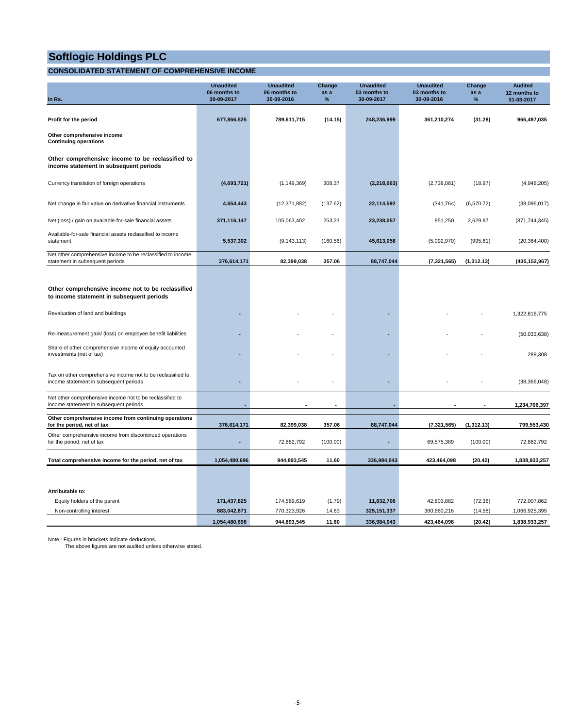### **CONSOLIDATED STATEMENT OF COMPREHENSIVE INCOME**

| In Rs.                                                                                                | <b>Unaudited</b><br>06 months to<br>30-09-2017 | <b>Unaudited</b><br>06 months to<br>30-09-2016 | Change<br>as a<br>$\%$ | <b>Unaudited</b><br>03 months to<br>30-09-2017 | <b>Unaudited</b><br>03 months to<br>30-09-2016 | Change<br>as a<br>$\%$ | <b>Audited</b><br>12 months to<br>31-03-2017 |
|-------------------------------------------------------------------------------------------------------|------------------------------------------------|------------------------------------------------|------------------------|------------------------------------------------|------------------------------------------------|------------------------|----------------------------------------------|
| Profit for the period                                                                                 | 677,866,525                                    | 789,611,715                                    | (14.15)                | 248,236,999                                    | 361,210,274                                    | (31.28)                | 966,497,035                                  |
| Other comprehensive income<br><b>Continuing operations</b>                                            |                                                |                                                |                        |                                                |                                                |                        |                                              |
| Other comprehensive income to be reclassified to<br>income statement in subsequent periods            |                                                |                                                |                        |                                                |                                                |                        |                                              |
| Currency translation of foreign operations                                                            | (4,693,721)                                    | (1, 149, 369)                                  | 308.37                 | (2, 218, 663)                                  | (2,738,081)                                    | (18.97)                | (4,948,205)                                  |
| Net change in fair value on derivative financial instruments                                          | 4,654,443                                      | (12, 371, 882)                                 | (137.62)               | 22,114,592                                     | (341, 764)                                     | (6,570.72)             | (38,096,017)                                 |
| Net (loss) / gain on available-for-sale financial assets                                              | 371,116,147                                    | 105,063,402                                    | 253.23                 | 23,238,057                                     | 851,250                                        | 2,629.87               | (371, 744, 345)                              |
| Available-for-sale financial assets reclassified to income<br>statement                               | 5,537,302                                      | (9, 143, 113)                                  | (160.56)               | 45,613,058                                     | (5,092,970)                                    | (995.61)               | (20, 364, 400)                               |
| Net other comprehensive income to be reclassified to income<br>statement in subsequent periods        | 376,614,171                                    | 82,399,038                                     | 357.06                 | 88,747,044                                     | (7, 321, 565)                                  | (1,312.13)             | (435, 152, 967)                              |
|                                                                                                       |                                                |                                                |                        |                                                |                                                |                        |                                              |
| Other comprehensive income not to be reclassified<br>to income statement in subsequent periods        |                                                |                                                |                        |                                                |                                                |                        |                                              |
| Revaluation of land and buildings                                                                     |                                                |                                                |                        |                                                |                                                |                        | 1,322,816,775                                |
| Re-measurement gain/ (loss) on employee benefit liabilities                                           |                                                |                                                |                        |                                                |                                                |                        | (50,033,638)                                 |
| Share of other comprehensive income of equity accounted<br>investments (net of tax)                   |                                                |                                                |                        |                                                |                                                |                        | 289,308                                      |
| Tax on other comprehensive income not to be reclassified to<br>income statement in subsequent periods |                                                |                                                |                        |                                                |                                                |                        | (38, 366, 048)                               |
| Net other comprehensive income not to be reclassified to<br>income statement in subsequent periods    |                                                |                                                |                        |                                                |                                                |                        | 1,234,706,397                                |
| Other comprehensive income from continuing operations<br>for the period, net of tax                   | 376,614,171                                    | 82,399,038                                     | 357.06                 | 88,747,044                                     | (7, 321, 565)                                  | (1,312.13)             | 799,553,430                                  |
| Other comprehensive income from discontinued operations<br>for the period, net of tax                 | ÷                                              | 72,882,792                                     | (100.00)               |                                                | 69,575,389                                     | (100.00)               | 72,882,792                                   |
| Total comprehensive income for the period, net of tax                                                 | 1,054,480,696                                  | 944,893,545                                    | 11.60                  | 336,984,043                                    | 423,464,098                                    | (20.42)                | 1,838,933,257                                |
|                                                                                                       |                                                |                                                |                        |                                                |                                                |                        |                                              |
| Attributable to:                                                                                      |                                                |                                                |                        |                                                |                                                |                        |                                              |
| Equity holders of the parent                                                                          | 171,437,825                                    | 174,569,619                                    | (1.79)                 | 11,832,706                                     | 42,803,882                                     | (72.36)                | 772,007,862                                  |
| Non-controlling interest                                                                              | 883,042,871                                    | 770,323,926                                    | 14.63                  | 325, 151, 337                                  | 380,660,216                                    | (14.58)                | 1,066,925,395                                |
|                                                                                                       | 1,054,480,696                                  | 944,893,545                                    | 11.60                  | 336,984,043                                    | 423,464,098                                    | (20.42)                | 1,838,933,257                                |

Note : Figures in brackets indicate deductions. The above figures are not audited unless otherwise stated.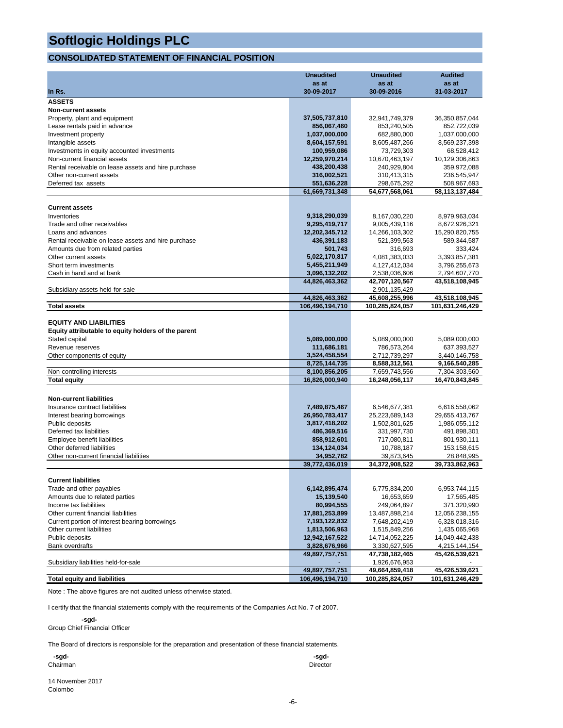#### **CONSOLIDATED STATEMENT OF FINANCIAL POSITION**

|                                                            | <b>Unaudited</b>              | <b>Unaudited</b>            | <b>Audited</b>              |
|------------------------------------------------------------|-------------------------------|-----------------------------|-----------------------------|
|                                                            | as at                         | as at                       | as at                       |
| In Rs.                                                     | 30-09-2017                    | 30-09-2016                  | 31-03-2017                  |
| <b>ASSETS</b>                                              |                               |                             |                             |
| <b>Non-current assets</b>                                  |                               |                             |                             |
| Property, plant and equipment                              | 37,505,737,810                | 32,941,749,379              | 36,350,857,044              |
| Lease rentals paid in advance                              | 856,067,460                   | 853,240,505                 | 852,722,039                 |
| Investment property                                        | 1,037,000,000                 | 682,880,000                 | 1,037,000,000               |
| Intangible assets                                          | 8,604,157,591                 | 8,605,487,266               | 8,569,237,398               |
| Investments in equity accounted investments                | 100,959,086                   | 73,729,303                  | 68,528,412                  |
| Non-current financial assets                               | 12,259,970,214                | 10,670,463,197              | 10,129,306,863              |
| Rental receivable on lease assets and hire purchase        | 438,200,438                   | 240,929,804                 | 359,972,088                 |
| Other non-current assets                                   | 316,002,521                   | 310,413,315                 | 236,545,947                 |
| Deferred tax assets                                        | 551,636,228<br>61.669.731.348 | 298,675,292                 | 508,967,693                 |
|                                                            |                               | 54,677,568,061              | 58,113,137,484              |
| <b>Current assets</b>                                      |                               |                             |                             |
| Inventories                                                | 9,318,290,039                 | 8,167,030,220               | 8,979,963,034               |
| Trade and other receivables                                | 9,295,419,717                 | 9,005,439,116               | 8,672,926,321               |
| Loans and advances                                         | 12,202,345,712                | 14,266,103,302              | 15,290,820,755              |
| Rental receivable on lease assets and hire purchase        | 436,391,183                   | 521,399,563                 | 589,344,587                 |
| Amounts due from related parties                           | 501,743                       | 316,693                     | 333,424                     |
| Other current assets                                       | 5,022,170,817                 | 4,081,383,033               | 3,393,857,381               |
| Short term investments                                     | 5,455,211,949                 | 4,127,412,034               | 3,796,255,673               |
| Cash in hand and at bank                                   | 3,096,132,202                 | 2,538,036,606               | 2,794,607,770               |
|                                                            | 44,826,463,362                | 42,707,120,567              | 43,518,108,945              |
| Subsidiary assets held-for-sale                            |                               | 2,901,135,429               |                             |
|                                                            | 44,826,463,362                | 45,608,255,996              | 43,518,108,945              |
| <b>Total assets</b>                                        | 106,496,194,710               | 100,285,824,057             | 101,631,246,429             |
| <b>EQUITY AND LIABILITIES</b>                              |                               |                             |                             |
| Equity attributable to equity holders of the parent        |                               |                             |                             |
| Stated capital                                             | 5,089,000,000                 | 5,089,000,000               | 5,089,000,000               |
| Revenue reserves                                           | 111,686,181                   | 786,573,264                 | 637,393,527                 |
| Other components of equity                                 | 3,524,458,554                 | 2,712,739,297               | 3,440,146,758               |
|                                                            | 8,725,144,735                 | 8,588,312,561               | 9,166,540,285               |
| Non-controlling interests                                  | 8,100,856,205                 | 7,659,743,556               | 7,304,303,560               |
| <b>Total equity</b>                                        | 16,826,000,940                | 16,248,056,117              | 16,470,843,845              |
|                                                            |                               |                             |                             |
| <b>Non-current liabilities</b>                             |                               |                             |                             |
| Insurance contract liabilities                             | 7,489,875,467                 | 6,546,677,381               | 6,616,558,062               |
| Interest bearing borrowings                                | 26,950,783,417                | 25,223,689,143              | 29,655,413,767              |
| Public deposits                                            | 3,817,418,202                 | 1,502,801,625               | 1,986,055,112               |
| Deferred tax liabilities                                   | 486,369,516                   | 331,997,730                 | 491,898,301                 |
| Employee benefit liabilities                               | 858,912,601                   | 717,080,811                 | 801,930,111                 |
| Other deferred liabilities                                 | 134,124,034                   | 10,788,187                  | 153,158,615                 |
| Other non-current financial liabilities                    | 34,952,782                    | 39,873,645                  | 28,848,995                  |
|                                                            | 39,772,436,019                | 34,372,908,522              | 39,733,862,963              |
| <b>Current liabilities</b>                                 |                               |                             |                             |
|                                                            | 6,142,895,474                 |                             |                             |
| Trade and other payables<br>Amounts due to related parties | 15,139,540                    | 6,775,834,200<br>16,653,659 | 6,953,744,115<br>17,565,485 |
| Income tax liabilities                                     | 80,994,555                    | 249,064,897                 | 371,320,990                 |
| Other current financial liabilities                        | 17,881,253,899                | 13,487,898,214              | 12,056,238,155              |
| Current portion of interest bearing borrowings             | 7,193,122,832                 | 7,648,202,419               | 6,328,018,316               |
| Other current liabilities                                  | 1,813,506,963                 | 1,515,849,256               | 1,435,065,968               |
| Public deposits                                            | 12,942,167,522                | 14,714,052,225              | 14,049,442,438              |
| <b>Bank overdrafts</b>                                     | 3,828,676,966                 | 3,330,627,595               | 4,215,144,154               |
|                                                            | 49,897,757,751                | 47,738,182,465              | 45,426,539,621              |
| Subsidiary liabilities held-for-sale                       |                               | 1,926,676,953               |                             |
|                                                            | 49,897,757,751                | 49,664,859,418              | 45,426,539,621              |
| <b>Total equity and liabilities</b>                        | 106,496,194,710               | 100,285,824,057             | 101,631,246,429             |

Note : The above figures are not audited unless otherwise stated.

I certify that the financial statements comply with the requirements of the Companies Act No. 7 of 2007.

 **-sgd-**Group Chief Financial Officer

The Board of directors is responsible for the preparation and presentation of these financial statements.

| -sgd-    | -sgd-           |
|----------|-----------------|
| Chairman | <b>Director</b> |

14 November 2017 Colombo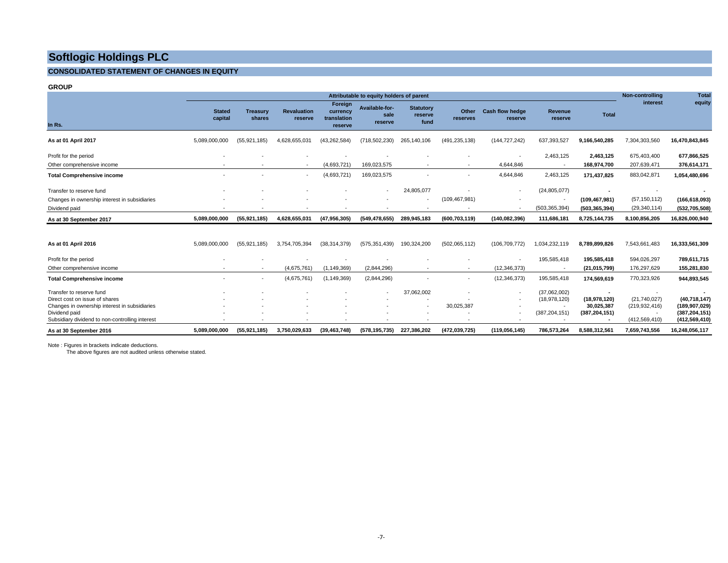#### **CONSOLIDATED STATEMENT OF CHANGES IN EQUITY**

**GROUP**

|                                                 | Attributable to equity holders of parent |                           |                               |                                               |                                   |                                     | Non-controlling          | <b>Total</b>                      |                          |                          |                 |                 |
|-------------------------------------------------|------------------------------------------|---------------------------|-------------------------------|-----------------------------------------------|-----------------------------------|-------------------------------------|--------------------------|-----------------------------------|--------------------------|--------------------------|-----------------|-----------------|
| In Rs.                                          | <b>Stated</b><br>capital                 | <b>Treasury</b><br>shares | <b>Revaluation</b><br>reserve | Foreign<br>currency<br>translation<br>reserve | Available-for-<br>sale<br>reserve | <b>Statutory</b><br>reserve<br>fund | Other<br>reserves        | <b>Cash flow hedge</b><br>reserve | Revenue<br>reserve       | Total                    | interest        | equity          |
| As at 01 April 2017                             | 5,089,000,000                            | (55, 921, 185)            | 4,628,655,031                 | (43, 262, 584)                                | (718, 502, 230)                   | 265,140,106                         | (491, 235, 138)          | (144, 727, 242)                   | 637,393,527              | 9,166,540,285            | 7,304,303,560   | 16,470,843,845  |
| Profit for the period                           |                                          |                           |                               |                                               |                                   |                                     |                          |                                   | 2,463,125                | 2.463.125                | 675,403,400     | 677,866,525     |
| Other comprehensive income                      |                                          |                           | $\overline{\phantom{a}}$      | (4,693,721)                                   | 169,023,575                       |                                     |                          | 4,644,846                         | $\overline{\phantom{a}}$ | 168.974.700              | 207,639,471     | 376,614,171     |
| <b>Total Comprehensive income</b>               |                                          |                           | $\overline{\phantom{a}}$      | (4,693,721)                                   | 169,023,575                       |                                     | $\overline{\phantom{a}}$ | 4,644,846                         | 2,463,125                | 171,437,825              | 883,042,871     | 1,054,480,696   |
| Transfer to reserve fund                        |                                          |                           |                               |                                               | $\sim$                            | 24,805,077                          |                          | $\overline{\phantom{a}}$          | (24, 805, 077)           | $\overline{\phantom{a}}$ |                 |                 |
| Changes in ownership interest in subsidiaries   |                                          |                           |                               |                                               |                                   |                                     | (109, 467, 981)          |                                   | $\sim$                   | (109, 467, 981)          | (57, 150, 112)  | (166, 618, 093) |
| Dividend paid                                   |                                          |                           |                               |                                               |                                   |                                     |                          |                                   | (503, 365, 394)          | (503, 365, 394)          | (29, 340, 114)  | (532, 705, 508) |
| As at 30 September 2017                         | 5,089,000,000                            | (55, 921, 185)            | 4,628,655,031                 | (47, 956, 305)                                | (549, 478, 655)                   | 289,945,183                         | (600,703,119)            | (140, 082, 396)                   | 111,686,181              | 8,725,144,735            | 8,100,856,205   | 16,826,000,940  |
|                                                 |                                          |                           |                               |                                               |                                   |                                     |                          |                                   |                          |                          |                 |                 |
| As at 01 April 2016                             | 5,089,000,000                            | (55, 921, 185)            | 3,754,705,394                 | (38, 314, 379)                                | (575, 351, 439)                   | 190,324,200                         | (502,065,112)            | (106, 709, 772)                   | 1,034,232,119            | 8,789,899,826            | 7,543,661,483   | 16,333,561,309  |
| Profit for the period                           |                                          |                           |                               |                                               |                                   |                                     |                          |                                   | 195,585,418              | 195,585,418              | 594,026,297     | 789,611,715     |
| Other comprehensive income                      |                                          | $\sim$                    | (4,675,761)                   | (1, 149, 369)                                 | (2,844,296)                       |                                     | $\overline{\phantom{a}}$ | (12, 346, 373)                    | $\overline{\phantom{a}}$ | (21, 015, 799)           | 176,297,629     | 155,281,830     |
| <b>Total Comprehensive income</b>               |                                          | $\sim$                    | (4,675,761)                   | (1, 149, 369)                                 | (2,844,296)                       |                                     | $\sim$                   | (12, 346, 373)                    | 195,585,418              | 174,569,619              | 770,323,926     | 944,893,545     |
| Transfer to reserve fund                        |                                          |                           |                               |                                               |                                   | 37,062,002                          |                          | $\overline{\phantom{a}}$          | (37,062,002)             | $\overline{\phantom{a}}$ |                 |                 |
| Direct cost on issue of shares                  |                                          |                           |                               |                                               |                                   |                                     |                          | $\overline{\phantom{a}}$          | (18, 978, 120)           | (18,978,120)             | (21,740,027)    | (40, 718, 147)  |
| Changes in ownership interest in subsidiaries   |                                          |                           |                               |                                               |                                   |                                     | 30,025,387               |                                   |                          | 30.025.387               | (219, 932, 416) | (189,907,029)   |
| Dividend paid                                   |                                          |                           |                               |                                               |                                   |                                     |                          |                                   | (387, 204, 151)          | (387, 204, 151)          |                 | (387, 204, 151) |
| Subsidiary dividend to non-controlling interest |                                          |                           |                               |                                               |                                   |                                     |                          |                                   | $\overline{\phantom{a}}$ |                          | (412, 569, 410) | (412, 569, 410) |
| As at 30 September 2016                         | 5,089,000,000                            | (55, 921, 185)            | 3,750,029,633                 | (39, 463, 748)                                | (578, 195, 735)                   | 227,386,202                         | (472, 039, 725)          | (119, 056, 145)                   | 786,573,264              | 8,588,312,561            | 7,659,743,556   | 16,248,056,117  |

Note : Figures in brackets indicate deductions.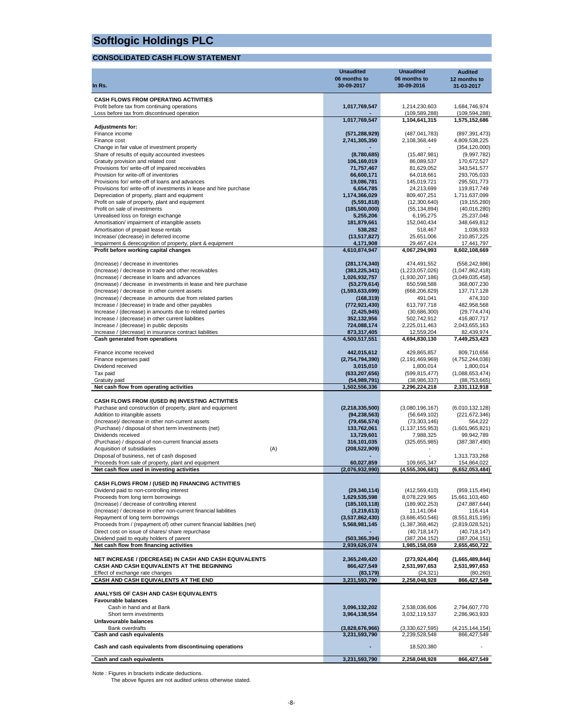#### **CONSOLIDATED CASH FLOW STATEMENT**

|                                                                                                               | <b>Unaudited</b>                 | <b>Unaudited</b>                   | <b>Audited</b>                     |
|---------------------------------------------------------------------------------------------------------------|----------------------------------|------------------------------------|------------------------------------|
|                                                                                                               | 06 months to                     | 06 months to                       | 12 months to                       |
| In Rs.                                                                                                        | 30-09-2017                       | 30-09-2016                         | 31-03-2017                         |
| CASH FLOWS FROM OPERATING ACTIVITIES                                                                          |                                  |                                    |                                    |
| Profit before tax from continuing operations                                                                  | 1,017,769,547                    | 1,214,230,603                      | 1,684,746,974                      |
| Loss before tax from discontinued operation                                                                   | 1,017,769,547                    | (109, 589, 288)                    | (109, 594, 288)                    |
| <b>Adjustments for:</b>                                                                                       |                                  | 1,104,641,315                      | 1,575,152,686                      |
| Finance income                                                                                                | (571, 288, 929)                  | (487, 041, 783)                    | (897, 391, 473)                    |
| Finance cost                                                                                                  | 2,741,305,350                    | 2,108,368,449                      | 4,809,538,225                      |
| Change in fair value of investment property                                                                   |                                  |                                    | (354, 120, 000)                    |
| Share of results of equity accounted investees<br>Gratuity provision and related cost                         | (8,780,685)<br>106,169,019       | (15, 487, 981)<br>86,089,537       | (9,997,782)<br>170,672,527         |
| Provisions for/ write-off of impaired receivables                                                             | 71,757,467                       | 81,629,052                         | 343,541,577                        |
| Provision for write-off of inventories                                                                        | 66,600,171                       | 64,018,661                         | 293,705,033                        |
| Provisions for/ write-off of loans and advances                                                               | 19,086,781                       | 145,019,721                        | 295,501,773                        |
| Provisions for/write-off of investments in lease and hire purchase                                            | 6.654.785                        | 24,213,699                         | 119,817,749                        |
| Depreciation of property, plant and equipment<br>Profit on sale of property, plant and equipment              | 1,174,366,029<br>(5,591,818)     | 809,407,251<br>(12,300,640)        | 1,711,637,099<br>(19, 155, 280)    |
| Profit on sale of investments                                                                                 | (185,500,000)                    | (55, 134, 894)                     | (40,016,280)                       |
| Unrealised loss on foreign exchange                                                                           | 5,255,206                        | 6,195,275                          | 25,237,048                         |
| Amortisation/ impairment of intangible assets                                                                 | 181,879,661                      | 152,040,434                        | 348,649,812                        |
| Amortisation of prepaid lease rentals<br>Increase/ (decrease) in deferred income                              | 538,282<br>(13, 517, 827)        | 518,467<br>25,651,006              | 1,036,933<br>210,857,225           |
| Impairment & derecognition of property, plant & equipment                                                     | 4,171,908                        | 29,467,424                         | 17,441,797                         |
| Profit before working capital changes                                                                         | 4,610,874,947                    | 4,067,294,993                      | 8,602,108,669                      |
|                                                                                                               |                                  |                                    |                                    |
| (Increase) / decrease in inventories                                                                          | (281, 174, 340)                  | 474,491,552                        | (558, 242, 986)                    |
| (Increase) / decrease in trade and other receivables<br>(Increase) / decrease in loans and advances           | (383, 225, 341)<br>1,026,932,757 | (1,223,057,026)<br>(1,930,207,186) | (1,047,862,418)<br>(3,049,035,458) |
| (Increase) / decrease in investments in lease and hire purchase                                               | (53, 279, 614)                   | 650,598,588                        | 368,007,230                        |
| (Increase) / decrease in other current assets                                                                 | (1,593,633,699)                  | (668, 206, 829)                    | 137,717,128                        |
| (Increase) / decrease in amounts due from related parties                                                     | (168, 319)                       | 491,041                            | 474,310                            |
| Increase / (decrease) in trade and other payables                                                             | (772, 921, 430)                  | 613,797,718                        | 482,958,568                        |
| Increase / (decrease) in amounts due to related parties<br>Increase / (decrease) in other current liabilities | (2, 425, 945)<br>352,132,956     | (30,686,300)<br>502,742,912        | (29, 774, 474)<br>416,807,717      |
| Increase / (decrease) in public deposits                                                                      | 724,088,174                      | 2,225,011,463                      | 2,043,655,163                      |
| Increase / (decrease) in insurance contract liabilities                                                       | 873,317,405                      | 12,559,204                         | 82,439,974                         |
| Cash generated from operations                                                                                | 4,500,517,551                    | 4,694,830,130                      | 7,449,253,423                      |
|                                                                                                               |                                  |                                    |                                    |
| Finance income received<br>Finance expenses paid                                                              | 442,015,612<br>(2,754,794,390)   | 429,865,857<br>(2, 191, 469, 969)  | 809,710,656<br>(4,752,244,036)     |
| Dividend received                                                                                             | 3,015,010                        | 1,800,014                          | 1,800,014                          |
| Tax paid                                                                                                      | (633, 207, 656)                  | (599, 815, 477)                    | (1,088,653,474)                    |
| Gratuity paid                                                                                                 | (54, 989, 791)                   | (38, 986, 337)                     | (88, 753, 665)                     |
| Net cash flow from operating activities                                                                       | 1,502,556,336                    | 2,296,224,218                      | 2,331,112,918                      |
| CASH FLOWS FROM /(USED IN) INVESTING ACTIVITIES                                                               |                                  |                                    |                                    |
| Purchase and construction of property, plant and equipment                                                    | (2,218,335,500)                  | (3,080,196,167)                    | (6,010,132,128)                    |
| Addition to intangible assets                                                                                 | (94, 238, 563)                   | (56, 649, 102)                     | (221, 672, 346)                    |
| (Increase)/ decrease in other non-current assets                                                              | (79, 456, 574)                   | (73, 303, 146)                     | 564,222                            |
| (Purchase) / disposal of short term investments (net)<br>Dividends received                                   | 133.762.061                      | (1, 137, 155, 953)                 | (1,601,965,821)                    |
| (Purchase) / disposal of non-current financial assets                                                         | 13,729,601<br>316,101,035        | 7,988,325<br>(325, 655, 985)       | 99,942,789<br>(387, 387, 490)      |
| Acquisition of subsidiaries<br>(A)                                                                            | (208, 522, 909)                  |                                    |                                    |
| Disposal of business, net of cash disposed                                                                    |                                  |                                    | 1,313,733,268                      |
| Proceeds from sale of property, plant and equipment                                                           | 60,027,859                       | 109,665,347                        | 154,864,022                        |
| Net cash flow used in investing activities                                                                    | (2,076,932,990)                  | (4.555.306.681)                    | (6,652,053,484)                    |
| CASH FLOWS FROM / (USED IN) FINANCING ACTIVITIES                                                              |                                  |                                    |                                    |
| Dividend paid to non-controlling interest                                                                     | (29, 340, 114)                   | (412, 569, 410)                    | (959, 115, 494)                    |
| Proceeds from long term borrowings                                                                            | 1,629,535,598                    | 8,078,229,965                      | 15,661,103,460                     |
| (Increase) / decrease of controlling interest                                                                 | (185, 103, 118)                  | (189, 902, 253)                    | (247, 887, 644)                    |
| (Increase) / decrease in other non-current financial liabilities<br>Repayment of long term borrowings         | (3,219,613)                      | 11,141,064                         | 116,414                            |
| Proceeds from / (repayment of) other current financial liabilities (net)                                      | (3,537,862,430)<br>5,568,981,145 | (3,686,450,546)<br>(1,387,368,462) | (8,551,815,195)<br>(2,819,028,521) |
| Direct cost on issue of shares/ share repurchase                                                              |                                  | (40,718,147)                       | (40,718,147)                       |
| Dividend paid to equity holders of parent                                                                     | (503, 365, 394)                  | (387, 204, 152)                    | (387, 204, 151)                    |
| Net cash flow from financing activities                                                                       | 2,939,626,074                    | 1,985,158,059                      | 2,655,450,722                      |
| NET INCREASE / (DECREASE) IN CASH AND CASH EQUIVALENTS                                                        |                                  | (273, 924, 404)                    |                                    |
| CASH AND CASH EQUIVALENTS AT THE BEGINNING                                                                    | 2,365,249,420<br>866,427,549     | 2,531,997,653                      | (1,665,489,844)<br>2,531,997,653   |
| Effect of exchange rate changes                                                                               | (83, 179)                        | (24,321)                           | (80, 260)                          |
| CASH AND CASH EQUIVALENTS AT THE END                                                                          | 3,231,593,790                    | 2,258,048,928                      | 866,427,549                        |
|                                                                                                               |                                  |                                    |                                    |
| ANALYSIS OF CASH AND CASH EQUIVALENTS<br><b>Favourable balances</b>                                           |                                  |                                    |                                    |
| Cash in hand and at Bank                                                                                      | 3,096,132,202                    | 2,538,036,606                      | 2,794,607,770                      |
| Short term investments                                                                                        | 3,964,138,554                    | 3,032,119,537                      | 2,286,963,933                      |
| Unfavourable balances                                                                                         |                                  |                                    |                                    |
| <b>Bank overdrafts</b>                                                                                        | (3,828,676,966)                  | (3,330,627,595)                    | (4,215,144,154)                    |
| Cash and cash equivalents                                                                                     | 3,231,593,790                    | 2,239,528,548                      | 866,427,549                        |
| Cash and cash equivalents from discontinuing operations                                                       |                                  | 18,520,380                         |                                    |
| Cash and cash equivalents                                                                                     | 3,231,593,790                    | 2,258,048,928                      | 866,427,549                        |
|                                                                                                               |                                  |                                    |                                    |

Note : Figures in brackets indicate deductions. The above figures are not audited unless otherwise stated.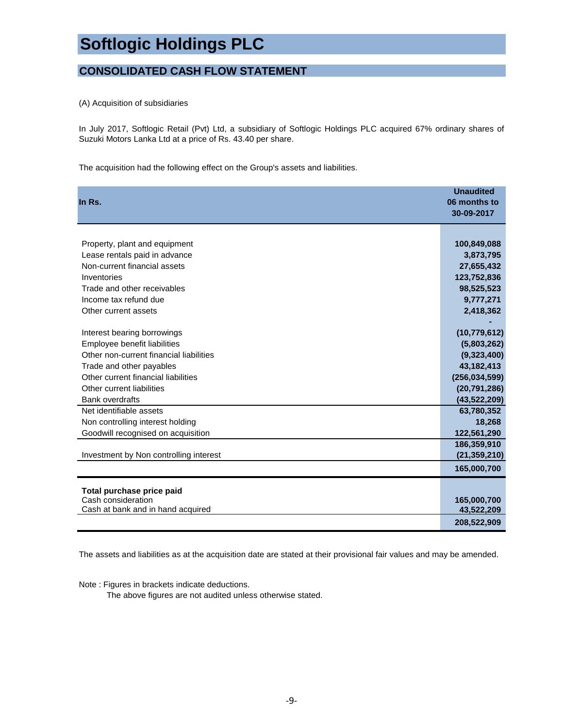### **CONSOLIDATED CASH FLOW STATEMENT**

(A) Acquisition of subsidiaries

In July 2017, Softlogic Retail (Pvt) Ltd, a subsidiary of Softlogic Holdings PLC acquired 67% ordinary shares of Suzuki Motors Lanka Ltd at a price of Rs. 43.40 per share.

The acquisition had the following effect on the Group's assets and liabilities.

| In Rs.                                          | <b>Unaudited</b><br>06 months to<br>30-09-2017 |
|-------------------------------------------------|------------------------------------------------|
|                                                 |                                                |
| Property, plant and equipment                   | 100,849,088                                    |
| Lease rentals paid in advance                   | 3,873,795                                      |
| Non-current financial assets                    | 27,655,432                                     |
| Inventories                                     | 123,752,836                                    |
| Trade and other receivables                     | 98,525,523                                     |
| Income tax refund due                           | 9,777,271                                      |
| Other current assets                            | 2,418,362                                      |
|                                                 |                                                |
| Interest bearing borrowings                     | (10, 779, 612)                                 |
| Employee benefit liabilities                    | (5,803,262)                                    |
| Other non-current financial liabilities         | (9,323,400)                                    |
| Trade and other payables                        | 43,182,413                                     |
| Other current financial liabilities             | (256, 034, 599)                                |
| Other current liabilities                       | (20, 791, 286)                                 |
| <b>Bank overdrafts</b>                          | (43,522,209)                                   |
| Net identifiable assets                         | 63,780,352                                     |
| Non controlling interest holding                | 18,268                                         |
| Goodwill recognised on acquisition              | 122,561,290                                    |
|                                                 | 186,359,910                                    |
| Investment by Non controlling interest          | (21, 359, 210)                                 |
|                                                 | 165,000,700                                    |
|                                                 |                                                |
| Total purchase price paid<br>Cash consideration | 165,000,700                                    |
| Cash at bank and in hand acquired               | 43,522,209                                     |
|                                                 | 208,522,909                                    |

The assets and liabilities as at the acquisition date are stated at their provisional fair values and may be amended.

Note : Figures in brackets indicate deductions.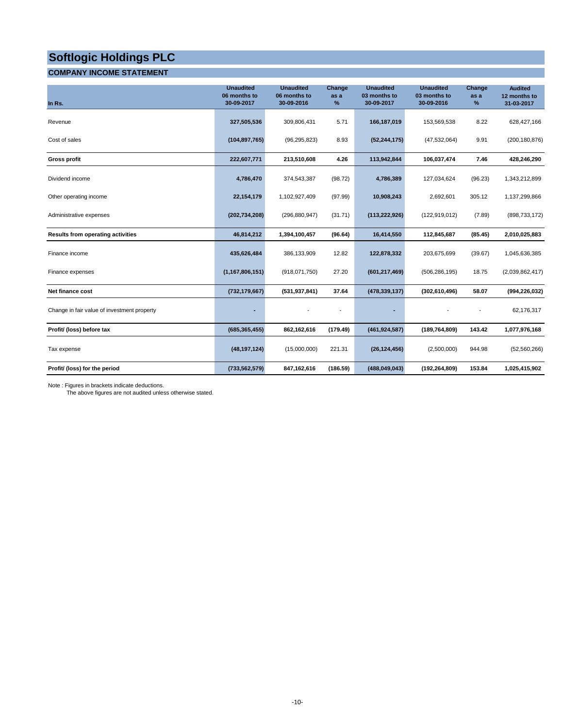#### **COMPANY INCOME STATEMENT**

| In Rs.                                      | <b>Unaudited</b><br>06 months to<br>30-09-2017 | <b>Unaudited</b><br>06 months to<br>30-09-2016 | Change<br>as a<br>% | <b>Unaudited</b><br>03 months to<br>30-09-2017 | <b>Unaudited</b><br>03 months to<br>30-09-2016 | Change<br>as a<br>% | <b>Audited</b><br>12 months to<br>31-03-2017 |
|---------------------------------------------|------------------------------------------------|------------------------------------------------|---------------------|------------------------------------------------|------------------------------------------------|---------------------|----------------------------------------------|
| Revenue                                     | 327,505,536                                    | 309,806,431                                    | 5.71                | 166,187,019                                    | 153,569,538                                    | 8.22                | 628,427,166                                  |
| Cost of sales                               | (104, 897, 765)                                | (96, 295, 823)                                 | 8.93                | (52, 244, 175)                                 | (47, 532, 064)                                 | 9.91                | (200, 180, 876)                              |
| <b>Gross profit</b>                         | 222,607,771                                    | 213,510,608                                    | 4.26                | 113,942,844                                    | 106,037,474                                    | 7.46                | 428,246,290                                  |
| Dividend income                             | 4,786,470                                      | 374,543,387                                    | (98.72)             | 4,786,389                                      | 127,034,624                                    | (96.23)             | 1,343,212,899                                |
| Other operating income                      | 22,154,179                                     | 1,102,927,409                                  | (97.99)             | 10,908,243                                     | 2,692,601                                      | 305.12              | 1,137,299,866                                |
| Administrative expenses                     | (202, 734, 208)                                | (296, 880, 947)                                | (31.71)             | (113, 222, 926)                                | (122, 919, 012)                                | (7.89)              | (898, 733, 172)                              |
| <b>Results from operating activities</b>    | 46,814,212                                     | 1,394,100,457                                  | (96.64)             | 16,414,550                                     | 112,845,687                                    | (85.45)             | 2,010,025,883                                |
| Finance income                              | 435,626,484                                    | 386,133,909                                    | 12.82               | 122,878,332                                    | 203,675,699                                    | (39.67)             | 1,045,636,385                                |
| Finance expenses                            | (1, 167, 806, 151)                             | (918,071,750)                                  | 27.20               | (601, 217, 469)                                | (506, 286, 195)                                | 18.75               | (2,039,862,417)                              |
| Net finance cost                            | (732, 179, 667)                                | (531, 937, 841)                                | 37.64               | (478, 339, 137)                                | (302, 610, 496)                                | 58.07               | (994,226,032)                                |
| Change in fair value of investment property | ٠                                              |                                                |                     |                                                |                                                |                     | 62,176,317                                   |
| Profit/ (loss) before tax                   | (685, 365, 455)                                | 862,162,616                                    | (179.49)            | (461, 924, 587)                                | (189, 764, 809)                                | 143.42              | 1,077,976,168                                |
| Tax expense                                 | (48, 197, 124)                                 | (15,000,000)                                   | 221.31              | (26, 124, 456)                                 | (2,500,000)                                    | 944.98              | (52, 560, 266)                               |
| Profit/ (loss) for the period               | (733, 562, 579)                                | 847,162,616                                    | (186.59)            | (488, 049, 043)                                | (192, 264, 809)                                | 153.84              | 1,025,415,902                                |

Note : Figures in brackets indicate deductions. The above figures are not audited unless otherwise stated.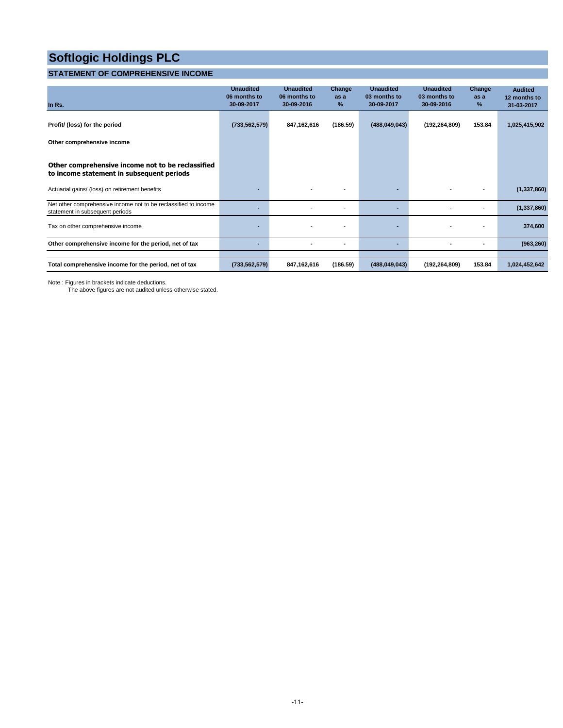### **STATEMENT OF COMPREHENSIVE INCOME**

| In Rs.                                                                                             | <b>Unaudited</b><br>06 months to<br>30-09-2017 | <b>Unaudited</b><br>06 months to<br>30-09-2016 | Change<br>as a<br>% | <b>Unaudited</b><br>03 months to<br>30-09-2017 | <b>Unaudited</b><br>03 months to<br>30-09-2016 | Change<br>as a<br>% | <b>Audited</b><br>12 months to<br>31-03-2017 |
|----------------------------------------------------------------------------------------------------|------------------------------------------------|------------------------------------------------|---------------------|------------------------------------------------|------------------------------------------------|---------------------|----------------------------------------------|
| Profit/ (loss) for the period                                                                      | (733, 562, 579)                                | 847,162,616                                    | (186.59)            | (488, 049, 043)                                | (192, 264, 809)                                | 153.84              | 1,025,415,902                                |
| Other comprehensive income                                                                         |                                                |                                                |                     |                                                |                                                |                     |                                              |
| Other comprehensive income not to be reclassified<br>to income statement in subsequent periods     |                                                |                                                |                     |                                                |                                                |                     |                                              |
| Actuarial gains/ (loss) on retirement benefits                                                     |                                                | ٠                                              |                     |                                                |                                                |                     | (1, 337, 860)                                |
| Net other comprehensive income not to be reclassified to income<br>statement in subsequent periods |                                                |                                                | ٠                   | ۰.                                             |                                                | ٠                   | (1, 337, 860)                                |
| Tax on other comprehensive income                                                                  |                                                |                                                | ٠                   | ۰.                                             |                                                |                     | 374,600                                      |
| Other comprehensive income for the period, net of tax                                              |                                                | ٠                                              | ٠                   | ٠                                              |                                                | $\blacksquare$      | (963, 260)                                   |
| Total comprehensive income for the period, net of tax                                              | (733, 562, 579)                                | 847,162,616                                    | (186.59)            | (488, 049, 043)                                | (192, 264, 809)                                | 153.84              | 1,024,452,642                                |

Note : Figures in brackets indicate deductions.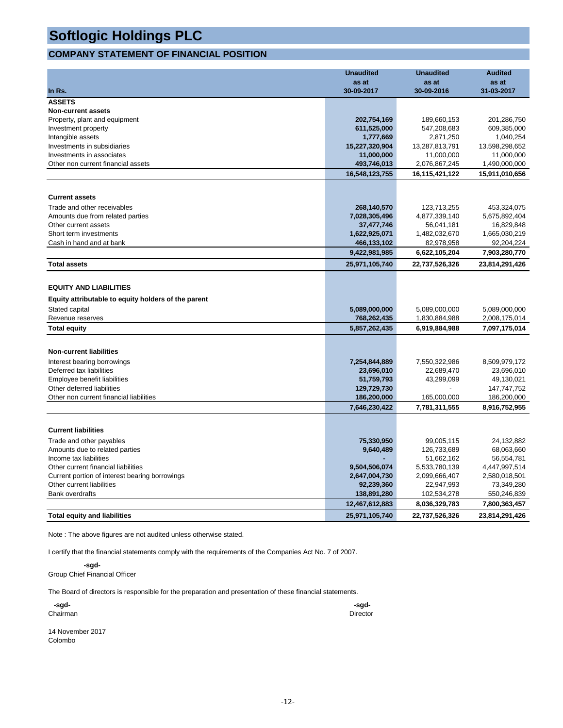#### **COMPANY STATEMENT OF FINANCIAL POSITION**

|                                                      | <b>Unaudited</b>           | <b>Unaudited</b>           | <b>Audited</b>             |
|------------------------------------------------------|----------------------------|----------------------------|----------------------------|
|                                                      | as at                      | as at                      | as at                      |
| In Rs.                                               | 30-09-2017                 | 30-09-2016                 | 31-03-2017                 |
| <b>ASSETS</b>                                        |                            |                            |                            |
| <b>Non-current assets</b>                            |                            |                            |                            |
| Property, plant and equipment<br>Investment property | 202,754,169<br>611,525,000 | 189,660,153<br>547,208,683 | 201,286,750<br>609,385,000 |
| Intangible assets                                    | 1,777,669                  | 2,871,250                  | 1,040,254                  |
| Investments in subsidiaries                          | 15,227,320,904             | 13,287,813,791             | 13,598,298,652             |
| Investments in associates                            | 11,000,000                 | 11,000,000                 | 11,000,000                 |
| Other non current financial assets                   | 493,746,013                | 2,076,867,245              | 1,490,000,000              |
|                                                      | 16,548,123,755             | 16,115,421,122             | 15,911,010,656             |
|                                                      |                            |                            |                            |
| <b>Current assets</b>                                |                            |                            |                            |
| Trade and other receivables                          | 268,140,570                | 123,713,255                | 453,324,075                |
| Amounts due from related parties                     | 7,028,305,496              | 4,877,339,140              | 5,675,892,404              |
| Other current assets                                 | 37,477,746                 | 56,041,181                 | 16,829,848                 |
| Short term investments                               | 1,622,925,071              | 1,482,032,670              | 1,665,030,219              |
| Cash in hand and at bank                             | 466,133,102                | 82,978,958                 | 92,204,224                 |
|                                                      | 9,422,981,985              | 6,622,105,204              | 7,903,280,770              |
| <b>Total assets</b>                                  | 25,971,105,740             | 22,737,526,326             | 23,814,291,426             |
|                                                      |                            |                            |                            |
| <b>EQUITY AND LIABILITIES</b>                        |                            |                            |                            |
| Equity attributable to equity holders of the parent  |                            |                            |                            |
| Stated capital                                       | 5,089,000,000              | 5,089,000,000              | 5,089,000,000              |
| Revenue reserves                                     | 768,262,435                | 1,830,884,988              | 2,008,175,014              |
| <b>Total equity</b>                                  | 5,857,262,435              | 6,919,884,988              | 7,097,175,014              |
|                                                      |                            |                            |                            |
| <b>Non-current liabilities</b>                       |                            |                            |                            |
| Interest bearing borrowings                          | 7,254,844,889              | 7,550,322,986              | 8,509,979,172              |
| Deferred tax liabilities                             | 23,696,010                 | 22,689,470                 | 23,696,010                 |
| Employee benefit liabilities                         | 51,759,793                 | 43,299,099                 | 49,130,021                 |
| Other deferred liabilities                           | 129,729,730                |                            | 147,747,752                |
| Other non current financial liabilities              | 186,200,000                | 165,000,000                | 186,200,000                |
|                                                      | 7,646,230,422              | 7,781,311,555              | 8,916,752,955              |
|                                                      |                            |                            |                            |
| <b>Current liabilities</b>                           |                            |                            |                            |
| Trade and other payables                             | 75,330,950                 | 99,005,115                 | 24,132,882                 |
| Amounts due to related parties                       | 9,640,489                  | 126,733,689                | 68,063,660                 |
| Income tax liabilities                               |                            | 51,662,162                 | 56,554,781                 |
| Other current financial liabilities                  | 9,504,506,074              | 5,533,780,139              | 4,447,997,514              |
| Current portion of interest bearing borrowings       | 2,647,004,730              | 2,099,666,407              | 2,580,018,501              |
| Other current liabilities                            | 92,239,360                 | 22,947,993                 | 73,349,280                 |
| <b>Bank overdrafts</b>                               | 138,891,280                | 102,534,278                | 550,246,839                |
|                                                      | 12,467,612,883             | 8,036,329,783              | 7,800,363,457              |
| <b>Total equity and liabilities</b>                  | 25.971.105.740             | 22.737.526.326             | 23,814,291,426             |

Note : The above figures are not audited unless otherwise stated.

I certify that the financial statements comply with the requirements of the Companies Act No. 7 of 2007.

 **-sgd-**Group Chief Financial Officer

The Board of directors is responsible for the preparation and presentation of these financial statements.

| -sgd-    | -sgd-    |
|----------|----------|
| Chairman | Director |
|          |          |

| 14 November 2017 |  |
|------------------|--|
| Colombo          |  |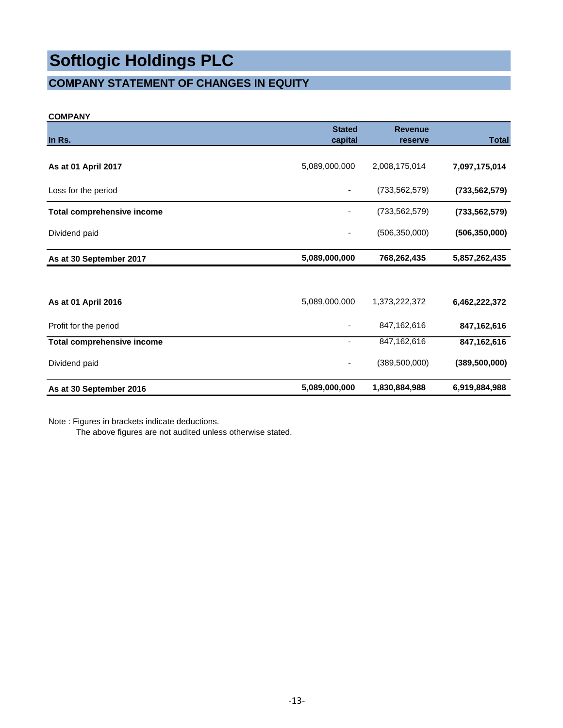### **COMPANY STATEMENT OF CHANGES IN EQUITY**

#### **COMPANY**

| In Rs.                            | <b>Stated</b><br>capital | <b>Revenue</b><br>reserve | <b>Total</b>    |
|-----------------------------------|--------------------------|---------------------------|-----------------|
| As at 01 April 2017               | 5,089,000,000            | 2,008,175,014             | 7,097,175,014   |
| Loss for the period               |                          | (733, 562, 579)           | (733, 562, 579) |
| <b>Total comprehensive income</b> |                          | (733, 562, 579)           | (733, 562, 579) |
| Dividend paid                     |                          | (506, 350, 000)           | (506, 350, 000) |
| As at 30 September 2017           | 5,089,000,000            | 768,262,435               | 5,857,262,435   |
|                                   |                          |                           |                 |
| As at 01 April 2016               | 5,089,000,000            | 1,373,222,372             | 6,462,222,372   |
| Profit for the period             |                          | 847,162,616               | 847,162,616     |
| <b>Total comprehensive income</b> |                          | 847, 162, 616             | 847,162,616     |
| Dividend paid                     |                          | (389, 500, 000)           | (389, 500, 000) |
| As at 30 September 2016           | 5,089,000,000            | 1,830,884,988             | 6,919,884,988   |

Note : Figures in brackets indicate deductions.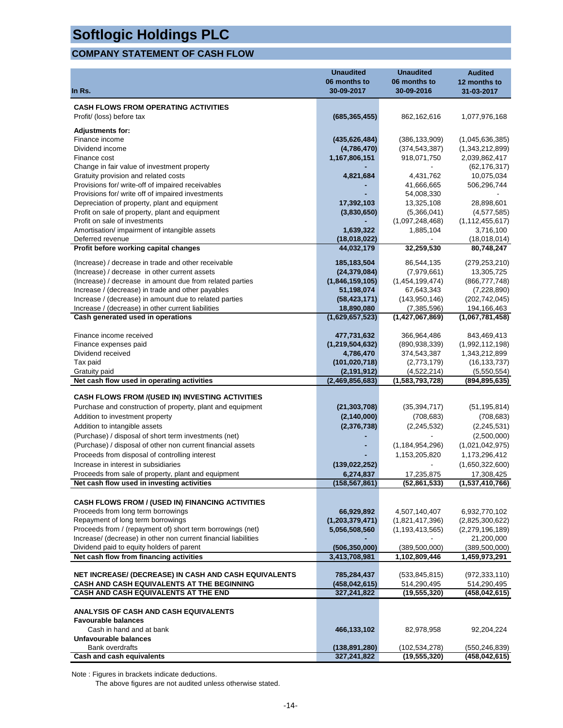### **COMPANY STATEMENT OF CASH FLOW**

|                                                                                                       | <b>Unaudited</b>               | <b>Unaudited</b>                | <b>Audited</b>                   |
|-------------------------------------------------------------------------------------------------------|--------------------------------|---------------------------------|----------------------------------|
|                                                                                                       | 06 months to<br>30-09-2017     | 06 months to<br>30-09-2016      | 12 months to                     |
| In Rs.                                                                                                |                                |                                 | 31-03-2017                       |
| <b>CASH FLOWS FROM OPERATING ACTIVITIES</b>                                                           |                                |                                 |                                  |
| Profit/ (loss) before tax                                                                             | (685, 365, 455)                | 862,162,616                     | 1,077,976,168                    |
| <b>Adjustments for:</b>                                                                               |                                |                                 |                                  |
| Finance income                                                                                        | (435, 626, 484)                | (386, 133, 909)                 | (1,045,636,385)                  |
| Dividend income                                                                                       | (4,786,470)                    | (374, 543, 387)                 | (1,343,212,899)                  |
| Finance cost                                                                                          | 1,167,806,151                  | 918,071,750                     | 2,039,862,417                    |
| Change in fair value of investment property                                                           |                                |                                 | (62, 176, 317)                   |
| Gratuity provision and related costs                                                                  | 4,821,684                      | 4,431,762                       | 10,075,034                       |
| Provisions for/write-off of impaired receivables<br>Provisions for/ write off of impaired investments |                                | 41,666,665<br>54,008,330        | 506,296,744                      |
| Depreciation of property, plant and equipment                                                         | 17,392,103                     | 13,325,108                      | 28,898,601                       |
| Profit on sale of property, plant and equipment                                                       | (3,830,650)                    | (5,366,041)                     | (4, 577, 585)                    |
| Profit on sale of investments                                                                         |                                | (1,097,248,468)                 | (1, 112, 455, 617)               |
| Amortisation/ impairment of intangible assets                                                         | 1,639,322                      | 1,885,104                       | 3,716,100                        |
| Deferred revenue                                                                                      | (18,018,022)                   |                                 | (18,018,014)                     |
| Profit before working capital changes                                                                 | 44,032,179                     | 32,259,530                      | 80,748,247                       |
| (Increase) / decrease in trade and other receivable                                                   | 185, 183, 504                  | 86,544,135                      | (279, 253, 210)                  |
| (Increase) / decrease in other current assets                                                         | (24, 379, 084)                 | (7,979,661)                     | 13,305,725                       |
| (Increase) / decrease in amount due from related parties                                              | (1,846,159,105)                | (1,454,199,474)                 | (866, 777, 748)                  |
| Increase / (decrease) in trade and other payables                                                     | 51,198,074                     | 67,643,343                      | (7, 228, 890)                    |
| Increase / (decrease) in amount due to related parties                                                | (58, 423, 171)                 | (143, 950, 146)                 | (202, 742, 045)                  |
| Increase / (decrease) in other current liabilities                                                    | 18,890,080                     | (7, 385, 596)                   | 194,166,463                      |
| Cash generated used in operations                                                                     | (1,629,657,523)                | (1,427,067,869)                 | (1,067,781,458)                  |
| Finance income received                                                                               | 477,731,632                    | 366,964,486                     | 843,469,413                      |
| Finance expenses paid                                                                                 | (1, 219, 504, 632)             | (890, 938, 339)                 | (1,992,112,198)                  |
| Dividend received                                                                                     | 4,786,470                      | 374,543,387                     | 1,343,212,899                    |
| Tax paid                                                                                              | (101, 020, 718)                | (2,773,179)                     | (16, 133, 737)                   |
| Gratuity paid                                                                                         | (2, 191, 912)                  | (4,522,214)                     | (5,550,554)                      |
| Net cash flow used in operating activities                                                            | (2,469,856,683)                | (1,583,793,728)                 | (894, 895, 635)                  |
| <b>CASH FLOWS FROM /(USED IN) INVESTING ACTIVITIES</b>                                                |                                |                                 |                                  |
| Purchase and construction of property, plant and equipment                                            | (21, 303, 708)                 | (35, 394, 717)                  | (51, 195, 814)                   |
| Addition to investment property                                                                       | (2, 140, 000)                  | (708, 683)                      | (708, 683)                       |
| Addition to intangible assets                                                                         | (2, 376, 738)                  | (2, 245, 532)                   | (2, 245, 531)                    |
| (Purchase) / disposal of short term investments (net)                                                 |                                |                                 | (2,500,000)                      |
| (Purchase) / disposal of other non current financial assets                                           |                                | (1, 184, 954, 296)              | (1,021,042,975)                  |
| Proceeds from disposal of controlling interest                                                        |                                | 1,153,205,820                   | 1,173,296,412                    |
| Increase in interest in subsidiaries                                                                  | (139, 022, 252)                |                                 | (1,650,322,600)                  |
| Proceeds from sale of property, plant and equipment                                                   | 6,274,837                      | 17,235,875                      | 17,308,425                       |
| Net cash flow used in investing activities                                                            | (158, 567, 861)                | (52,861,533)                    | (1,537,410,766)                  |
|                                                                                                       |                                |                                 |                                  |
| <b>CASH FLOWS FROM / (USED IN) FINANCING ACTIVITIES</b><br>Proceeds from long term borrowings         | 66,929,892                     | 4,507,140,407                   | 6,932,770,102                    |
| Repayment of long term borrowings                                                                     | (1,203,379,471)                | (1,821,417,396)                 | (2,825,300,622)                  |
| Proceeds from / (repayment of) short term borrowings (net)                                            | 5,056,508,560                  | (1, 193, 413, 565)              | (2,279,196,189)                  |
| Increase/ (decrease) in other non current financial liabilities                                       |                                |                                 | 21,200,000                       |
| Dividend paid to equity holders of parent                                                             | (506, 350, 000)                | (389, 500, 000)                 | (389, 500, 000)                  |
| Net cash flow from financing activities                                                               | 3,413,708,981                  | 1,102,809,446                   | 1,459,973,291                    |
|                                                                                                       |                                |                                 |                                  |
| NET INCREASE/ (DECREASE) IN CASH AND CASH EQUIVALENTS<br>CASH AND CASH EQUIVALENTS AT THE BEGINNING   | 785,284,437<br>(458,042,615)   | (533, 845, 815)<br>514,290,495  | (972, 333, 110)<br>514,290,495   |
| CASH AND CASH EQUIVALENTS AT THE END                                                                  | 327,241,822                    | (19, 555, 320)                  | (458, 042, 615)                  |
|                                                                                                       |                                |                                 |                                  |
| <b>ANALYSIS OF CASH AND CASH EQUIVALENTS</b>                                                          |                                |                                 |                                  |
| <b>Favourable balances</b>                                                                            |                                |                                 |                                  |
| Cash in hand and at bank                                                                              | 466,133,102                    | 82,978,958                      | 92,204,224                       |
| Unfavourable balances                                                                                 |                                |                                 |                                  |
| Bank overdrafts<br>Cash and cash equivalents                                                          | (138, 891, 280)<br>327,241,822 | (102,534,278)<br>(19, 555, 320) | (550,246,839)<br>(458, 042, 615) |
|                                                                                                       |                                |                                 |                                  |

Note : Figures in brackets indicate deductions.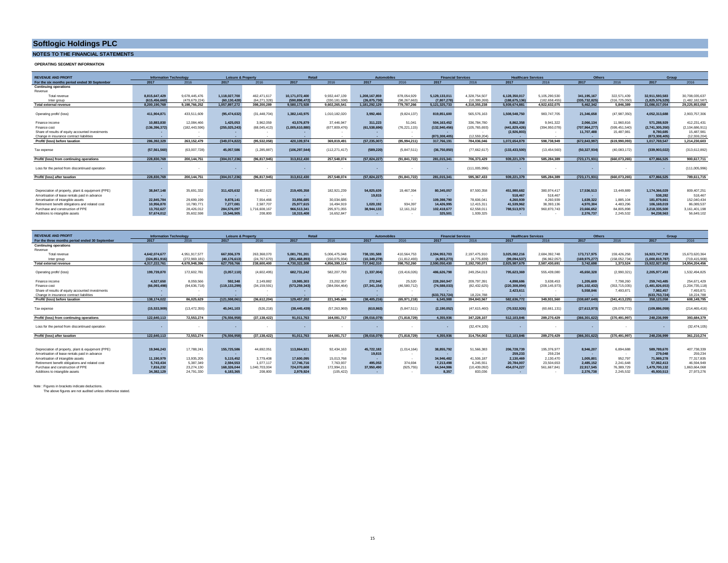#### **NOTES TO THE FINANCIAL STATEMENTS**

**OPERATING SEGMENT INFORMATION**

| <b>REVENUE AND PROFIT</b>                         |                 | <b>Information Technology</b> | <b>Leisure &amp; Property</b> |               |                | <b>Retail</b>   |                | <b>Automobiles</b> |               | <b>Financial Services</b> |                 | <b>Healthcare Services</b> | <b>Others</b>  |               |                 | Group           |
|---------------------------------------------------|-----------------|-------------------------------|-------------------------------|---------------|----------------|-----------------|----------------|--------------------|---------------|---------------------------|-----------------|----------------------------|----------------|---------------|-----------------|-----------------|
| For the six months period ended 30 September      | 2017            | 2016                          | 2017                          | 2016          | 2017           | 2016            | 2017           | 2016               | 2017          | 2016                      | 2017            | 2016                       | 2017           | 2016          | 2017            | 2016            |
| <b>Continuing operations</b>                      |                 |                               |                               |               |                |                 |                |                    |               |                           |                 |                            |                |               |                 |                 |
| Revenue                                           |                 |                               |                               |               |                |                 |                |                    |               |                           |                 |                            |                |               |                 |                 |
| Total revenue                                     | 8,815,647,429   | 9.678.445.476                 | 1.118.027.700                 | 462.471.617   | 10.171.072.400 | 9.932.447.139   | 1.208.167.859  | 878.054.929        | 5,129,133,011 | 4.328.754.507             | 6,128,350,017   | 5.105.290.530              | 341, 195, 167  | 322.571.439   | 32,911,593,583  | 30.708.035.637  |
| Inter group                                       | (615,456,660)   | (479.679.224)                 | (60,130,428                   | (64.271.328)  | (590.898.472   | (330.181.598)   | (26,875,730)   | (98.267.663)       | (7.807.278)   | (10.399.269)              | (188,675,136    | (182.658.455)              | (335,732,825)  | (316.725.050) | (1.825.576.529) | (1.482.182.587) |
| Total external revenue                            | 8,200,190,769   | 9.198.766.252                 | 1,057,897,272                 | 398.200.289   | 9.580.173.928  | 9.602.265.541   | 1.181.292.129  | 779,787,266        | 5.121.325.733 | 4.318.355.238             | 5.939.674.881   | 4.922.632.075              | 5.462.342      | 5.846.389     | 31.086.017.054  | 29.225.853.050  |
|                                                   |                 |                               |                               |               |                |                 |                |                    |               |                           |                 |                            |                |               |                 |                 |
| Operating profit/ (loss)                          | 411.904.871     | 433.511.609                   | (95.474.632)                  | (31.448.704)  | 1.382.143.975  | 1.010.182.020   | 3.992.466      | (9.824.137)        | 819,851,600   | 565,576,163               | 1.508.548.750   | 983.747.705                | 21.346.658     | (47.987.350)  | 4.052.313.688   | 2,903,757,306   |
|                                                   |                 |                               |                               |               |                |                 |                |                    |               |                           |                 |                            |                |               |                 |                 |
| Finance income                                    | 10,883,830      | 12.084.466                    | 1.425.053                     | 3.962.059     | 43,576,879     | 37.446.947      | 311.223        | 51.041             | 504.163.452   | 336,784.780               | 8.862.358       | 9.941.322                  | 2.066.134      | 11.960.816    | 571.288.929     | 412.231.431     |
| Finance cost                                      | (136, 396, 372) | (182.443.596)                 | (255, 025, 243)               | (68,045,413)  | (1.005.610.880 | (677, 809, 476) | (61, 538, 696) | (76.221.115)       | (132.940.456) | (105,765,693)             | (441.829.426)   | (394.950.078)              | (707.964.277)  | (599.451.540) | (2.741.305.350) | (2,104,686,911) |
| Share of results of equity accounted investments  |                 |                               |                               | . .           |                |                 |                | $\sim$             |               |                           | (2.926.803)     |                            | 11,707,488     | 15.487.981    | 8.780.685       | 15,487,981      |
| Change in insurance contract liabilities          |                 |                               |                               |               |                |                 |                |                    | (873.308.405) | (12.559.204)              |                 |                            |                |               | (873.308.405)   | (12.559.204)    |
| Profit/ (loss) before taxation                    | 286.392.329     | 263.152.479                   | (349.074.822)                 | (95.532.058)  | 420.109.974    | 369.819.491     | (57, 235, 007) | (85.994.211)       | 317,766,191   | 784.036.046               | 1.072.654.879   | 598.738.949                | (672.843.997   | (619.990.093) | 1.017.769.547   | 1.214.230.603   |
|                                                   |                 |                               |                               |               |                |                 |                |                    |               |                           |                 |                            |                |               |                 |                 |
| Tax expense                                       | (57, 561, 560)  | (63.007.728)                  | 45,057,586                    | (1, 285, 887) | (106.297.544)  | (112, 271, 417) | (589, 220)     | (5.847.511)        | (36,750,850)  | (77,662,617)              | (133, 433, 500) | (13.454.560)               | (50, 327, 934) | (40,083,172)  | (339,903,022)   | (313.612.892)   |
|                                                   | 228.830.769     | 200.144.751                   | (304.017.236)                 | (96.817.945)  | 313,812,430    | 257.548.074     | (57.824.227)   | (91.841.722)       | 281.015.341   | 706.373.429               | 939.221.379     | 585.284.389                | (723,171,931)  | (660.073.265) | 677.866.525     | 900.617.711     |
| Profit/ (loss) from continuing operations         |                 |                               |                               |               |                |                 |                |                    |               |                           |                 |                            |                |               |                 |                 |
| Loss for the period from discontinued operation   |                 |                               |                               |               |                |                 |                |                    |               | (111,005,996)             |                 |                            |                |               |                 |                 |
|                                                   |                 |                               |                               |               |                |                 |                | . .                |               |                           |                 |                            |                | $\sim$        |                 | (111,005,996)   |
| Profit/ (loss) after taxation                     | 228.830.769     | 200.144.751                   | (304.017.236)                 | (96.817.945)  | 313,812,430    | 257.548.074     | (57.824.227)   | (91.841.722)       | 281.015.341   | 595.367.433               | 939.221.379     | 585.284.389                | (723.171.931)  | (660.073.265) | 677.866.525     | 789.611.715     |
|                                                   |                 |                               |                               |               |                |                 |                |                    |               |                           |                 |                            |                |               |                 |                 |
|                                                   |                 |                               |                               |               |                |                 |                |                    |               |                           |                 |                            |                |               |                 |                 |
| Depreciation of property, plant & equipment (PPE) | 38,847,148      | 35.691.332                    | 311,425,632                   | 89.402.622    | 219,405,358    | 182,921,239     | 54.825.639     | 19.467.394         | 80,345,057    | 87.500.358                | 451.980.682     | 380.974.417                | 17,536,513     | 13.449.889    | 1.174.366.029   | 809.407.251     |
| Amortisation of lease rentals paid in advance     |                 | . .                           |                               | $\sim$        | $\sim$         | . .             | 19,815         | $\sim$             |               | $\sim$                    | 518,467         | 518,467                    | . .            | $\sim$        | 538,282         | 518.467         |
| Amortisation of intangible assets                 | 22,845,784      | 29.699.199                    | 9,878,141                     | 7.554.466     | 33,856,685     | 30.034.685      | $\overline{a}$ |                    | 109.398.790   | 78,606.041                | 4.260.939       | 4.260.939                  | 1.639.322      | 1.885.104     | 181.879.661     | 152.040.434     |
| Retirement benefit obligations and related cost   | 10.956.870      | 10.780.771                    | 7.277.081                     | 2.587.707     | 25.977.615     | 16,494.919      | 1.020.192      | 934.397            | 14.426.995    | 12.415.311                | 41.539.962      | 38.393.136                 | 4.970.304      | 4.483.296     | 106.169.019     | 86.089.537      |
| Purchase and construction of PPE                  | 13,702.627      | 28.426.012                    | 284.576.097                   | 1.716.608.167 | 966,513,341    | 295.971.055     |                | 12.161.312         | 102.418.677   | 62.558.011                | 788.513.973     | 960.870.743                | 23.666.652     | 84.805.898    | 2.218.335.500   | 3.161.401.198   |
| Additions to intangible assets                    | 57.674.012      | 35,602,598                    | 15,546,905                    | 208,800       | 18,315,408     | 16.652.847      |                |                    | 325,501       | 1.939.325                 | . .             |                            | 2.376.737      | 2.245.532     | 94.238.563      | 56.649.102      |
|                                                   |                 |                               |                               |               |                |                 | 38,944,133     |                    |               |                           |                 |                            |                |               |                 |                 |

| <b>REVENUE AND PROFIT</b>                         | <b>Information Technology</b> |                      | <b>Leisure &amp; Property</b> |                | Retail          |                | <b>Automobiles</b> |              | <b>Financial Services</b> |                |               | <b>Healthcare Services</b> | <b>Others</b> |                 | Group          |                    |
|---------------------------------------------------|-------------------------------|----------------------|-------------------------------|----------------|-----------------|----------------|--------------------|--------------|---------------------------|----------------|---------------|----------------------------|---------------|-----------------|----------------|--------------------|
| For the three months period ended 30 September    | 2017                          | 2016                 | 2017                          | 2016           | 2017            | 2016           | 2017               | 2016         | 2017                      | 2016           | 2017          | 2016                       | 2017          | 2016            | 2017           | 2016               |
| <b>Continuing operations</b>                      |                               |                      |                               |                |                 |                |                    |              |                           |                |               |                            |               |                 |                |                    |
| Revenue                                           |                               |                      |                               |                |                 |                |                    |              |                           |                |               |                            |               |                 |                |                    |
| Total revenue                                     | 4.642.074.677                 | 4.951.917.577        | 667.936.379                   | 263.368.070    | 5.081.791.201   | 5.006.475.048  | 738.191.588        | 410.564.753  | 2.594.953.703             | 2.197.475.910  | 3.025.082.216 | 2.684.392.748              | 173,717,975   | 159.426.258     | 16.923.747.739 | 15.673.620.364     |
| Inter group                                       | (324,851,916                  | (272, 969, 181)      | (40, 176, 61)                 | (24.767.670)   | (351, 468, 893) | (150.075.934)  | (10,349,278        | (11.812.493) | (4,903,273)               | (4,775.839)    | (99.094.537   | (96.962.057)               | (169,975,277  | (158.052.734)   | (1,000,819,787 | (719.415.908       |
| <b>Total external revenue</b>                     | 4.317.222.761                 | 4.678.948.396        | 627,759,766                   | 238,600,400    | 4.730.322.308   | 4.856.399.114  | 727.842.310        | 398,752,260  | 2,590,050,430             | 2.192.700.071  | 2.925.987.679 | 2.587.430.691              | 3.742.698     | 1.373.524       | 15.922.927.952 | 14.954.204.456     |
|                                                   |                               |                      |                               |                |                 |                |                    |              |                           |                |               |                            |               |                 |                |                    |
| Operating profit/ (loss)                          | 199.739.870                   | 172.602.781          | (3.057.110)                   | (4.602.495)    | 682.731.242     | 582.207.793    | (1, 337, 004)      | (19.416.026) | 486.626.798               | 249.254.013    | 795.623.369   | 555.439.080                | 45.650.328    | (2.990.321)     | 2.205.977.493  | 1.532.494.825      |
|                                                   |                               |                      |                               |                |                 |                |                    |              |                           |                |               |                            |               |                 |                |                    |
| Finance income                                    | 4.527.650                     | 8.059.566            | 592.348                       | 2.149.882      | 19.985.303      | 23.202.357     | 272.942            | 25.520       | 228.260.947               | 209.797.391    | 4,898,686     | 3.638.453                  | 1.205.609     | 7.798.260       | 259.743.485    | 254.671.429        |
| Finance cost                                      | (66.093.498)                  | (94.636.718)         | (119.133.299                  | (34, 159, 591) | (573.259.343)   | (384,064,464)  | (37, 341, 154)     | (46,580,712) | (74,588,033               | (82.432.625)   | (220.308.894  | (209.145.973)              | (391.102.432) | (353, 715, 035) | (1.481.826.653 | (1, 204, 735, 118) |
| Share of results of equity accounted investments  |                               |                      |                               |                |                 |                |                    |              |                           |                | 2.423.611     |                            | 5.558.846     | 7.493.871       | 7.982.457      | 7.493.87           |
| Change in insurance contract liabilities          |                               |                      |                               |                |                 |                |                    |              | (633,753,724)             | 18.224.788     |               |                            |               |                 | (633,753,724)  | 18.224.788         |
| Profit/ (loss) before taxation                    | 138,174,022                   | 86.025.629           | (121, 598, 061)               | (36, 612, 204) | 129.457.202     | 221,345,686    | (38, 405, 216)     | (65,971,218) | 6,545,988                 | 394,843,567    | 582,636,772   | 349.931.560                | (338,687,649  | (341.413.225)   | 358,123,058    | 608,149,795        |
|                                                   |                               |                      |                               |                |                 |                |                    |              |                           |                |               |                            |               |                 |                |                    |
| Tax expense                                       | (15, 533, 909)                | (13, 472, 355)       | 45.041.103                    | (526, 218)     | (38, 445, 439)  | (57, 263, 969) | (610, 863)         | (5.847.511)  | (2, 190, 052)             | (47, 615, 460) | (70,532,926   | (60, 661, 131)             | (27,613,973)  | (29, 078, 772)  | (109,886,059   | (214, 465, 416)    |
|                                                   |                               |                      |                               |                |                 |                |                    |              |                           |                |               |                            |               |                 |                |                    |
| Profit/ (loss) from continuing operations         | 122.640.113                   | 72,553,274           | (76, 556, 958)                | (37.138.422)   | 91.011.763      | 164.081.717    | (39,016,079)       | (71.818.729) | 4,355,936                 | 347.228.107    | 512,103,846   | 289.270.429                | (366,301,622) | (370.491.997)   | 248.236.999    | 393.684.379        |
|                                                   |                               |                      |                               |                |                 |                |                    |              |                           |                |               |                            |               |                 |                |                    |
| Loss for the period from discontinued operation   |                               |                      |                               |                |                 |                |                    |              |                           | (32.474.105)   |               |                            |               |                 |                | (32.474.105)       |
|                                                   |                               |                      |                               |                |                 |                |                    |              |                           |                |               |                            |               |                 |                |                    |
| Profit/ (loss) after taxation                     | 122.640.113                   | 72.553.274           | (76,556,95)                   | (37.138.422)   | 91.011.763      | 164.081.717    | (39.016.079        | (71.818.729) | 4.355.936                 | 314.754.002    | 512.103.846   | 289.270.429                | (366,301,622) | (370.491.997)   | 248.236.999    | 361.210.274        |
|                                                   |                               |                      |                               |                |                 |                |                    |              |                           |                |               |                            |               |                 |                |                    |
| Depreciation of property, plant & equipment (PPE) | 19,946,243                    | 17,788,241           | 155,725,586                   | 44.692.051     | 113.864.921     | 92.434.163     | 45,722,182         | (1.014.164)  | 38,855,792                | 51,566,383     | 206.728.739   | 195,376,977                | 8.946.207     | 6,894,688       | 589.789.670    | 407,738,339        |
| Amortisation of lease rentals paid in advance     |                               |                      | $\overline{a}$                | . .            |                 |                | 19,815             |              |                           |                | 259,233       | 259,234                    |               |                 | 279,048        | 259,234            |
| Amortisation of intangible assets                 | 11.190.979                    | $\sim$<br>13.935.205 | 5.115.452                     | 3.779.408      | 17,600.095      | 15,013,768     |                    |              | 34.946.482                | 41,506.187     | 2.130.469     | 2.130.470                  | 1.005.801     | 952.797         | 71.989.278     | 77.317.835         |
|                                                   |                               |                      |                               |                |                 |                |                    |              |                           |                |               |                            |               |                 |                |                    |
| Retirement benefit obligations and related cost   | 5.743.434                     | 5.387.349            | 2.594.553                     | 1.077.117      | 17.746.716      | 7.763.937      | 495.053            | 374,694      | 7.213.498                 | 6.245.551      | 20.784.007    | 23.504.653                 | 2.485.152     | 2.241.648       | 57.062.413     | 46,594,949         |
| Purchase and construction of PPE                  | 7.816.232                     | 23.274.130           | 168,326,044                   | 040.703.004    | 724.070.608     | 172.994.211    | 37,950,490         | (925.755)    | 64.544.986                | (10.439.092)   | 454.074.227   | 561.667.841                | 22.917.545    | 76,389,729      | 1.479.700.132  | 1.863.664.068      |
| Additions to intangible assets                    | 34.382.129                    | 24.791.330           | 6.183.365                     | 208 800        | 2.979.924       | (105.422)      |                    |              | 8.357                     | 833 036        |               |                            | 2.376.738     | 2.245.532       | 45.930.513     | 27.973.276         |

Note : Figures in brackets indicate deductions.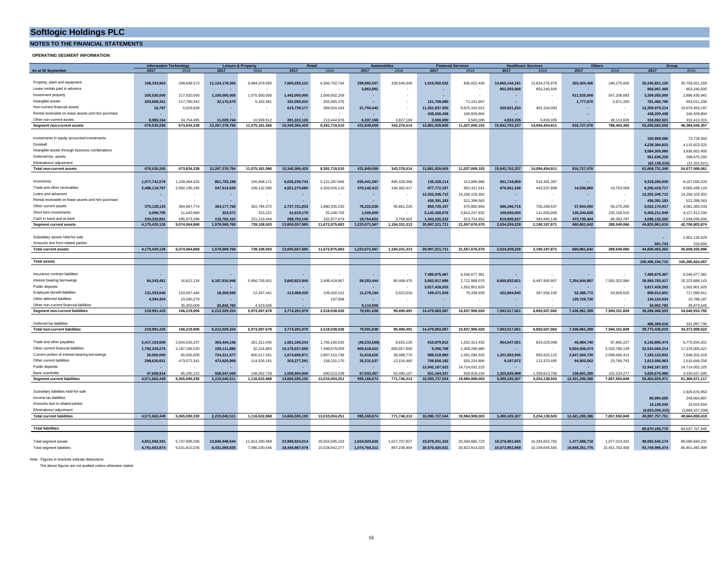**NOTES TO THE FINANCIAL STATEMENTS**

#### **OPERATING SEGMENT INFORMATION**

|                                                     |               | <b>Information Technology</b> |                                 | <b>Leisure &amp; Property</b> |                | Retail         | <b>Automobiles</b> |               |                | <b>Financial Services</b> | <b>Healthcare Services</b> |                | <b>Others</b>            |                | Group           |                 |
|-----------------------------------------------------|---------------|-------------------------------|---------------------------------|-------------------------------|----------------|----------------|--------------------|---------------|----------------|---------------------------|----------------------------|----------------|--------------------------|----------------|-----------------|-----------------|
| As at 30 September                                  | 2017          | 2016                          | 2017                            | 2016                          | 2017           | 2016           | 2017               | 2016          | 2017           | 2016                      | 2017                       | 2016           | 2017                     | 2016           | 2017            | 2016            |
|                                                     |               |                               |                                 |                               |                |                |                    |               |                |                           |                            |                |                          |                |                 |                 |
| Property, plant and equipment                       | 168,333,963   | 208,649,573                   | 11,124,178,365                  | 9,984,079,593                 | 7,669,255,122  | 6,366,702,734  | 399,892,557        | 339,549,345   | 1,015,592,532  | 836,022,430               | 14,665,144,181             | 12,834,276,978 | 203,424,406              | 190,270,606    | 35,245,821,126  | 30,759,551,259  |
| Lease rentals paid in advance                       |               |                               |                                 |                               |                |                | 3,863,892          |               |                |                           | 852,203,568                | 853,240,505    |                          |                | 856,067,460     | 853,240,505     |
| Investment property                                 | 205.530.000   | 217,620,000                   | 1,100,000,000                   | 1,075,000,000                 | 1,442,000,000  | 1,056,602,258  |                    |               | ×,             |                           |                            |                | 611,525,000              | 547,208,683    | 3,359,055,000   | 2,896,430,941   |
| Intangible assets                                   | 293,669,361   | 217,790,342                   | 32,170,675                      | 5,162,461                     | 332.050.010    | 355,945,376    |                    |               | 121,799,080    | 71,241,907                | $\sim$                     |                | 1,777,670                | 2,871,250      | 781,466,796     | 653,011,336     |
| Non-current financial assets                        |               | 5,019,928                     |                                 |                               | 615,739,177    | 389,024,164    | 21,755,442         |               | 11,301,937,555 | 9,875,315,012             | 320,521,253                | 401,104,093    |                          |                | 12,259,970,214  | 10,670,463,197  |
|                                                     | 16,787        |                               |                                 |                               |                |                |                    |               |                |                           |                            |                |                          |                |                 |                 |
| Rental receivable on lease assets and hire purchase |               |                               |                                 |                               |                |                |                    |               | 438,200,438    | 240,929,804               |                            |                |                          |                | 438,200,438     | 240,929,804     |
| Other non-current assets                            | 8,980,154     | 24,754,495                    | 11,029,744                      | 10,939,512                    | 281,322,120    | 213 444 978    | 6,337,168          | 3,827,169     | 3,500,000      | 3,500,000                 | 4,833,335                  | 5.833.335      |                          | 48.113.826     | 316,002,521     | 310,413,315     |
| Segment non-current assets                          | 676,530,265   | 673,834,338                   | 12,267,378,784                  | 11,075,181,566                | 10,340,366,429 | 8,381,719,510  | 431,849,059        | 343,376,514   | 12,881,029,605 | 11,027,009,153            | 15,842,702,337             | 14,094,454,911 | 816,727,076              | 788,464,365    | 53,256,583,555  | 46,384,040,357  |
|                                                     |               |                               |                                 |                               |                |                |                    |               |                |                           |                            |                |                          |                |                 |                 |
| Investments in equity accounted investments         |               |                               |                                 |                               |                |                |                    |               |                |                           |                            |                |                          |                | 100,959,086     | 73,729,303      |
| Goodwill                                            |               |                               |                                 |                               |                |                |                    |               |                |                           |                            |                |                          |                | 4.238.384.815   | 4,115,823,525   |
| Intangible assets through business combinations     |               |                               |                                 |                               |                |                |                    |               |                |                           |                            |                |                          |                | 3.584.305.980   | 3.836.652.405   |
| Deferred tax assets                                 |               |                               |                                 |                               |                |                |                    |               |                |                           |                            |                |                          |                | 551.636.228     | 298,675,292     |
| Fliminations/ adjustment                            |               |                               |                                 |                               |                |                |                    |               |                |                           |                            |                |                          |                | (62,138,316     | (31, 352, 821)  |
| <b>Total non-current assets</b>                     | 676,530,265   | 673.834.338                   | 12,267,378,784                  | 11,075,181,566                | 10.340.366.429 | 8.381.719.510  | 431.849.059        | 343.376.514   | 12,881,029,605 | 11,027,009,153            | 15.842.702.337             | 14.094.454.911 | 816,727,076              |                | 61,669,731,348  | 54.677.568.061  |
|                                                     |               |                               |                                 |                               |                |                |                    |               |                |                           |                            |                |                          |                |                 |                 |
| Inventories                                         |               | 1,109,484,632                 | 861,793,198                     | 105.658.171                   | 6.036.239.743  |                | 655,441,597        | 890,328,368   | 135,329,114    |                           | 551,744,809                | 516,381,397    |                          |                | 9,318,290,039   | 8,167,030,220   |
| Trade and other receivables                         | 1,077,741,578 |                               |                                 |                               |                | 5,131,287,666  |                    |               |                | 413,889,986               |                            |                |                          |                |                 |                 |
|                                                     | 2,488,119,767 | 2,992,195,195                 | 247,513,630                     | 109,122,595                   | 4,521,273,685  | 4,303,026,110  | 470,142,412        | 194,382,417   | 877,772,197    | 952,421,541               | 676,561,166                | 443,537,689    | 14,036,860               | 10,753,569     | 9,295,419,717   | 9,005,439,116   |
| Loans and advances                                  |               |                               |                                 |                               |                |                |                    |               | 12,202,345,712 | 14,266,103,302            |                            |                |                          |                | 12,202,345,712  | 14,266,103,302  |
| Rental receivable on lease assets and hire purchase | $\sim$        |                               |                                 |                               |                |                |                    |               | 436.391.183    | 521,399,563               | $\sim$                     |                | $\overline{\phantom{a}}$ |                | 436,391,183     | 521,399,563     |
| Other current assets                                | 370,128,125   | 364, 967, 774                 | 354,177,760                     | 302,794,072                   | 2,737,721,833  | 1,880,335,230  | 76,222,636         | 95,861,226    | 859,729,197    | 675,860,894               | 586,346,716                | 705,288,637    | 37.844.550               | 56,275,200     | 5,022,170,817   | 4,081,383,033   |
| Short term investments                              | 5,096,795     | 11,443,968                    | 323,071                         | 315,221                       | 61,619,179     | 25,248,703     | 1,500,000          |               | 5,142,428,076  | 3,814,247,632             | 109,000,000                | 141,000,000    | 135,244,828              | 135, 156, 510  | 5,455,211,949   | 4,127,412,034   |
| Cash in hand and at bank                            | 234.333.861   | 595.973.299                   | 115.762.101                     | 221.218.444                   | 298.703.145    | 332.977.974    | 19.764.922         | 3.759.302     | 1.343.226.232  | 913.753.652               | 610.606.537                | 383.990.148    | 473.735.404              | 86.363.787     | 3.096.132.202   | 2.538.036.606   |
| <b>Segment current assets</b>                       | 4,175,420,126 | 5,074,064,868                 | 1,579,569,760                   | 739,108,503                   | 13,655,557,585 | 11,672,875,683 | 1,223,071,567      | 1,184,331,313 | 20,997,221,711 | 21,557,676,570            | 2,534,259,228              | 2,190,197,871  | 660.861.642              | 288,549,066    | 44,825,961,619  | 42,706,803,874  |
|                                                     |               |                               |                                 |                               |                |                |                    |               |                |                           |                            |                |                          |                |                 |                 |
| Subsidiary assets held-for-sale                     |               |                               |                                 |                               |                |                |                    |               |                |                           |                            |                |                          |                |                 | 2,901,135,429   |
| Amounts due from related parties                    |               |                               |                                 |                               |                |                |                    |               |                |                           |                            |                |                          |                | 501.743         | 316.693         |
| <b>Total current assets</b>                         | 4,175,420,126 | 5.074.064.868                 | 1,579,569,760                   | 739,108,503                   | 13,655,557,585 | 11,672,875,683 | 1,223,071,567      | 1,184,331,313 | 20,997,221,711 | 21,557,676,570            | 2.534.259.228              | 2,190,197,871  | 660.861.642              | 288,549,066    | 44.826.463.362  | 45,608,255,996  |
|                                                     |               |                               |                                 |                               |                |                |                    |               |                |                           |                            |                |                          |                |                 |                 |
| <b>Total assets</b>                                 |               |                               |                                 |                               |                |                |                    |               |                |                           |                            |                |                          |                | 106.496.194.710 | 100.285.824.057 |
|                                                     |               |                               |                                 |                               |                |                |                    |               |                |                           |                            |                |                          |                |                 |                 |
| Insurance contract liabilities                      |               |                               |                                 |                               |                |                |                    |               | 7,489,875,467  | 6,546,677,381             |                            |                |                          |                | 7,489,875,467   | 6,546,677,381   |
| Interest bearing borrowings                         | 84,243,481    | 16,812,134                    | 6,167,916,946                   | 5,956,726,601                 | 3,660,823,949  | 2,408,419,967  | 59,203,444         | 90,468,475    | 3,062,917,889  | 2,712,988,075             | 6,660,832,821              | 6,487,950,907  | 7,254,844,887            | 7,550,322,984  | 26,950,783,417  | 25,223,689,143  |
| Public deposits                                     |               |                               |                                 |                               |                |                |                    |               |                |                           |                            |                |                          |                |                 |                 |
| Employee benefit liabilities                        |               |                               |                                 |                               |                |                |                    |               | 3,817,418,202  | 1,502,801,625             |                            |                |                          |                | 3,817,418,202   | 1,502,801,625   |
|                                                     | 131.353.640   | 103,467,484                   | 18.269.596                      | 12,347,441                    | 113,468,030    | 109,420,151    | 11,278,194         | 5,022,016     | 109,471,529    | 75,438,939                | 422.684.840                | 367,556,155    | 52,386,772               | 43,828,625     | 858,912,601     | 717,080,811     |
| Other deferred liabilities                          | 4,394,304     | 10,590,279                    |                                 |                               |                | 197,908        |                    |               |                |                           |                            |                | 129,729,730              |                | 134,124,034     | 10,788,187      |
| Other non-current financial liabilities             |               | 35.350.009                    | 25,842,782                      | 4.523.636                     |                |                | 9.110.000          |               |                |                           |                            |                |                          |                | 34,952,782      | 39,873,645      |
| <b>Segment non-current liabilities</b>              | 219,991,425   | 166,219,906                   | 6,212,029,324                   | 5,973,597,678                 | 3,774,291,979  | 2,518,038,026  | 79,591,638         | 95,490,491    | 14,479,683,087 | 10,837,906,020            | 7,083,517,661              | 6,855,507,062  | 7,436,961,389            | 7,594,151,609  | 39,286,066,503  | 34,040,910,792  |
|                                                     |               |                               |                                 |                               |                |                |                    |               |                |                           |                            |                |                          |                |                 |                 |
| Deferred tax liabilities                            |               |                               |                                 |                               |                |                |                    |               |                |                           |                            |                |                          |                | 486,369,516     | 331,997,730     |
| <b>Total non-current liabilities</b>                | 219,991,425   | 166,219,906                   | 6,212,029,324                   | 5,973,597,678                 | 3,774,291,979  | 2,518,038,026  | 79,591,638         | 95,490,491    | 14,479,683,087 | 10,837,906,020            | 7,083,517,661              | 6,855,507,062  | 7,436,961,389            | 7,594,151,609  | 39,772,436,019  | 34,372,908,522  |
|                                                     |               |                               |                                 |                               |                |                |                    |               |                |                           |                            |                |                          |                |                 |                 |
| Trade and other payables                            | 2,417,103,609 | 2,554,556,237                 | 303,444,146                     | 261,312,045                   | 1,551,169,234  | 1,765,160,035  | (40, 233, 568)     | 9,655,126     | 910,879,812    | 1,262,321,433             | 954,547,501                | 825,029,098    | 45,984,740               | 97,800,227     | 6,142,895,474   | 6,775,834,201   |
| Other current financial liabilities                 | 1,782,329,275 | 2,187,166,530                 | 159.111.880                     | 32,224,863                    | 10,178,637,655 | 7,498,579,059  | 900,618,622        | 665,957,850   | 9,356,708      | 1,458,296,980             |                            |                | 9,504,506,074            | 5,533,780,139  | 22,534,560,214  | 17,376,005,421  |
| Current portion of interest bearing borrowings      | 26,000,000    | 65,000,000                    | 724,311,577                     | 600,517,041                   | 1,674,605,971  | 2,897,510,748  | 31,618,626         | 28,488,770    | 888,518,983    | 1,001,094,325             | 1,201,062,945              | 955,925,122    | 2,647,004,730            | 2,099,666,413  | 7,193,122,832   | 7,648,202,419   |
| Other current liabilities                           | 298,620,651   | 473,572,341                   | 473,625,868                     | 114,526,191                   | 203,277,291    | 158,231,170    | 35,231,537         | 12,154,460    | 708,650,182    | 620,224,806               | 9.197.872                  | 113,370,495    | 84,903,562               | 23,769,793     | 1,813,506,963   | 1,515,849,256   |
| Public deposits                                     |               |                               |                                 |                               |                |                |                    |               | 12.942.167.522 | 14.714.052.225            | $\sim$                     |                |                          |                | 12.942.167.522  | 14,714,052,225  |
| <b>Bank overdrafts</b>                              | 47.608.914    | 85.295.222                    | 558.547.040                     | 108.052.728                   | 1.058.904.949  | 690.523.239    | 67.933.457         | 55,490.107    | 631.164.337    | 928.918.234               | 1.325.626.989              | 1.359.813.788  | 138.891.280              | 102.534.277    | 3.828.676.966   | 3.330.627.595   |
| <b>Segment current liabilities</b>                  | 4,571,662,449 | 5,365,590,330                 | 2,219,040,511                   | 1,116,632,868                 | 14,666,595,100 | 13,010,004,251 | 995,168,674        | 771,746,313   | 16,090,737,544 | 19,984,908,003            | 3,490,435,307              | 3,254,138,503  | 12,421,290,386           | 7,857,550,849  | 54,454,929,971  | 51,360,571,117  |
|                                                     |               |                               |                                 |                               |                |                |                    |               |                |                           |                            |                |                          |                |                 |                 |
| Subsidiary liabilities held-for-sale                |               |                               |                                 |                               |                |                |                    |               |                |                           |                            |                |                          |                |                 | 1,926,676,953   |
| Income tax liabilities                              |               |                               |                                 |                               |                |                |                    |               |                |                           |                            |                |                          |                | 80,994,555      | 249,064,897     |
| Amounts due to related parties                      |               |                               |                                 |                               |                |                |                    |               |                |                           |                            |                |                          |                | 15,139,540      | 16,653,659      |
| Fliminations/ adjustment                            |               |                               |                                 |                               |                |                |                    |               |                |                           |                            |                |                          |                | (4.653.306.315) | (3 888 107 208) |
| <b>Total current liabilities</b>                    | 4.571.662.449 | 5.365.590.330                 | 2.219.040.511                   | 1.116.632.868                 | 14.666.595.100 | 13,010,004,251 | 995.168.674        | 771,746,313   | 16.090.737.544 | 19.984.908.003            | 3.490.435.307              | 3.254.138.503  | 12.421.290.386           | 7,857,550,849  |                 | 49.664.859.418  |
|                                                     |               |                               |                                 |                               |                |                |                    |               |                |                           |                            |                |                          |                | 49,897,757,751  |                 |
| <b>Total liabilities</b>                            |               |                               |                                 |                               |                |                |                    |               |                |                           |                            |                |                          |                | 89.670.193.770  | 84.037.767.940  |
|                                                     |               |                               |                                 |                               |                |                |                    |               |                |                           |                            |                |                          |                |                 |                 |
|                                                     | 4.851.950.391 | 5.747.899.206                 |                                 |                               |                |                |                    |               |                |                           |                            |                |                          |                |                 |                 |
| Total segment assets                                |               |                               | 13,846,948,544<br>8.431.069.835 | 11,814,290,069                | 23,995,924,014 | 20,054,595,193 | 1,654,920,626      | 1,527,707,827 | 33,878,251,316 | 32,584,685,723            | 18,376,961,565             | 16,284,652,782 | 1,477,588,718            | 1,077,013,431  | 98,082,545,174  | 89,090,844,231  |
| Total segment liabilities                           | 4,791,653,874 | 5,531,810,236                 |                                 | 7,090,230,546                 | 18,440,887,079 | 15,528,042,277 | 1,074,760,312      | 867,236,804   | 30,570,420,631 | 30,822,814,023            | 10,573,952,968             | 10,109,645,565 | 19,858,251,775           | 15,451,702,458 | 93,740,996,474  | 85,401,481,909  |

Note : Figures in brackets indicate deductions.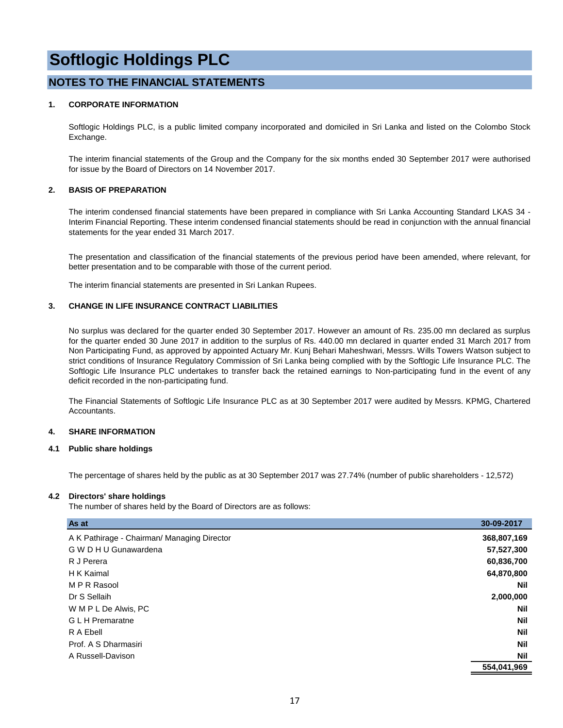#### **NOTES TO THE FINANCIAL STATEMENTS**

#### **1. CORPORATE INFORMATION**

Softlogic Holdings PLC, is a public limited company incorporated and domiciled in Sri Lanka and listed on the Colombo Stock Exchange.

The interim financial statements of the Group and the Company for the six months ended 30 September 2017 were authorised for issue by the Board of Directors on 14 November 2017.

#### **2. BASIS OF PREPARATION**

The interim condensed financial statements have been prepared in compliance with Sri Lanka Accounting Standard LKAS 34 - Interim Financial Reporting. These interim condensed financial statements should be read in conjunction with the annual financial statements for the year ended 31 March 2017.

The presentation and classification of the financial statements of the previous period have been amended, where relevant, for better presentation and to be comparable with those of the current period.

The interim financial statements are presented in Sri Lankan Rupees.

#### **3. CHANGE IN LIFE INSURANCE CONTRACT LIABILITIES**

No surplus was declared for the quarter ended 30 September 2017. However an amount of Rs. 235.00 mn declared as surplus for the quarter ended 30 June 2017 in addition to the surplus of Rs. 440.00 mn declared in quarter ended 31 March 2017 from Non Participating Fund, as approved by appointed Actuary Mr. Kunj Behari Maheshwari, Messrs. Wills Towers Watson subject to strict conditions of Insurance Regulatory Commission of Sri Lanka being complied with by the Softlogic Life Insurance PLC. The Softlogic Life Insurance PLC undertakes to transfer back the retained earnings to Non-participating fund in the event of any deficit recorded in the non-participating fund.

The Financial Statements of Softlogic Life Insurance PLC as at 30 September 2017 were audited by Messrs. KPMG, Chartered Accountants.

#### **4. SHARE INFORMATION**

#### **4.1 Public share holdings**

The percentage of shares held by the public as at 30 September 2017 was 27.74% (number of public shareholders - 12,572)

#### **4.2 Directors' share holdings**

The number of shares held by the Board of Directors are as follows:

| As at                                       | 30-09-2017  |
|---------------------------------------------|-------------|
| A K Pathirage - Chairman/ Managing Director | 368,807,169 |
| G W D H U Gunawardena                       | 57,527,300  |
| R J Perera                                  | 60,836,700  |
| H K Kaimal                                  | 64,870,800  |
| M P R Rasool                                | <b>Nil</b>  |
| Dr S Sellaih                                | 2,000,000   |
| W M P L De Alwis, PC                        | <b>Nil</b>  |
| <b>GLH</b> Premaratne                       | <b>Nil</b>  |
| R A Ebell                                   | <b>Nil</b>  |
| Prof. A S Dharmasiri                        | <b>Nil</b>  |
| A Russell-Davison                           | <b>Nil</b>  |
|                                             | 554,041,969 |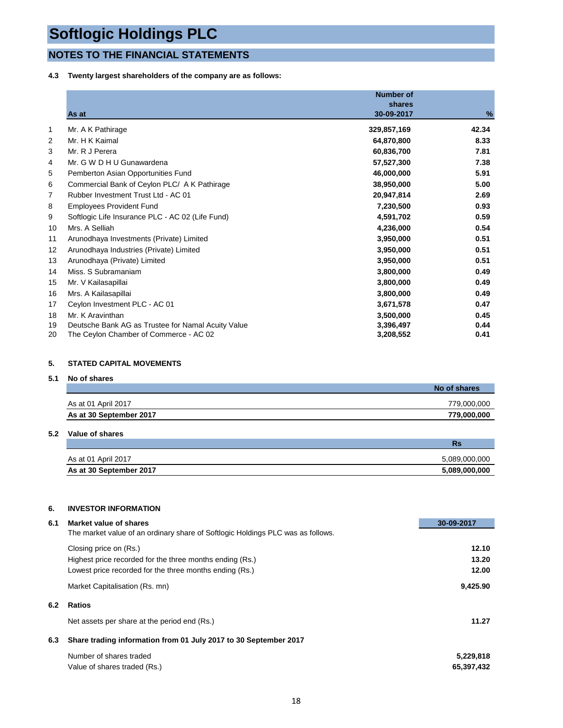### **NOTES TO THE FINANCIAL STATEMENTS**

**4.3 Twenty largest shareholders of the company are as follows:**

|    | As at                                              | <b>Number of</b><br>shares<br>30-09-2017 | %     |
|----|----------------------------------------------------|------------------------------------------|-------|
| 1  | Mr. A K Pathirage                                  | 329,857,169                              | 42.34 |
| 2  | Mr. H K Kaimal                                     | 64,870,800                               | 8.33  |
| 3  | Mr. R J Perera                                     | 60,836,700                               | 7.81  |
| 4  | Mr. G W D H U Gunawardena                          | 57,527,300                               | 7.38  |
| 5  | Pemberton Asian Opportunities Fund                 | 46,000,000                               | 5.91  |
| 6  | Commercial Bank of Ceylon PLC/ A K Pathirage       | 38,950,000                               | 5.00  |
| 7  | Rubber Investment Trust Ltd - AC 01                | 20,947,814                               | 2.69  |
| 8  | <b>Employees Provident Fund</b>                    | 7,230,500                                | 0.93  |
| 9  | Softlogic Life Insurance PLC - AC 02 (Life Fund)   | 4,591,702                                | 0.59  |
| 10 | Mrs. A Selliah                                     | 4,236,000                                | 0.54  |
| 11 | Arunodhaya Investments (Private) Limited           | 3,950,000                                | 0.51  |
| 12 | Arunodhaya Industries (Private) Limited            | 3,950,000                                | 0.51  |
| 13 | Arunodhaya (Private) Limited                       | 3,950,000                                | 0.51  |
| 14 | Miss. S Subramaniam                                | 3,800,000                                | 0.49  |
| 15 | Mr. V Kailasapillai                                | 3,800,000                                | 0.49  |
| 16 | Mrs. A Kailasapillai                               | 3,800,000                                | 0.49  |
| 17 | Ceylon Investment PLC - AC 01                      | 3,671,578                                | 0.47  |
| 18 | Mr. K Aravinthan                                   | 3,500,000                                | 0.45  |
| 19 | Deutsche Bank AG as Trustee for Namal Acuity Value | 3,396,497                                | 0.44  |
| 20 | The Ceylon Chamber of Commerce - AC 02             | 3,208,552                                | 0.41  |

#### **5. STATED CAPITAL MOVEMENTS**

#### **5.1 No of shares**

|                         | No of shares |
|-------------------------|--------------|
| As at 01 April 2017     | 779.000.000  |
| As at 30 September 2017 | 779,000,000  |

#### **5.2 Value of shares**

|                         | nэ            |
|-------------------------|---------------|
| As at 01 April 2017     | 5.089.000.000 |
| As at 30 September 2017 | 5,089,000,000 |

#### **6. INVESTOR INFORMATION**

| 6.1 | Market value of shares                                                          | 30-09-2017 |
|-----|---------------------------------------------------------------------------------|------------|
|     | The market value of an ordinary share of Softlogic Holdings PLC was as follows. |            |
|     | Closing price on (Rs.)                                                          | 12.10      |
|     | Highest price recorded for the three months ending (Rs.)                        | 13.20      |
|     | Lowest price recorded for the three months ending (Rs.)                         | 12.00      |
|     | Market Capitalisation (Rs. mn)                                                  | 9,425.90   |
| 6.2 | <b>Ratios</b>                                                                   |            |
|     | Net assets per share at the period end (Rs.)                                    | 11.27      |
| 6.3 | Share trading information from 01 July 2017 to 30 September 2017                |            |
|     | Number of shares traded                                                         | 5,229,818  |
|     | Value of shares traded (Rs.)                                                    | 65,397,432 |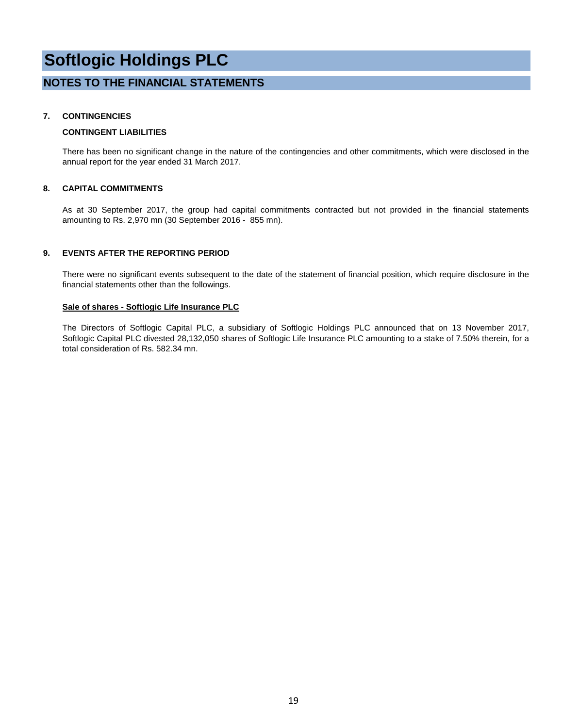#### **NOTES TO THE FINANCIAL STATEMENTS**

#### **7. CONTINGENCIES**

#### **CONTINGENT LIABILITIES**

There has been no significant change in the nature of the contingencies and other commitments, which were disclosed in the annual report for the year ended 31 March 2017.

#### **8. CAPITAL COMMITMENTS**

As at 30 September 2017, the group had capital commitments contracted but not provided in the financial statements amounting to Rs. 2,970 mn (30 September 2016 - 855 mn).

#### **9. EVENTS AFTER THE REPORTING PERIOD**

There were no significant events subsequent to the date of the statement of financial position, which require disclosure in the financial statements other than the followings.

#### **Sale of shares - Softlogic Life Insurance PLC**

The Directors of Softlogic Capital PLC, a subsidiary of Softlogic Holdings PLC announced that on 13 November 2017, Softlogic Capital PLC divested 28,132,050 shares of Softlogic Life Insurance PLC amounting to a stake of 7.50% therein, for a total consideration of Rs. 582.34 mn.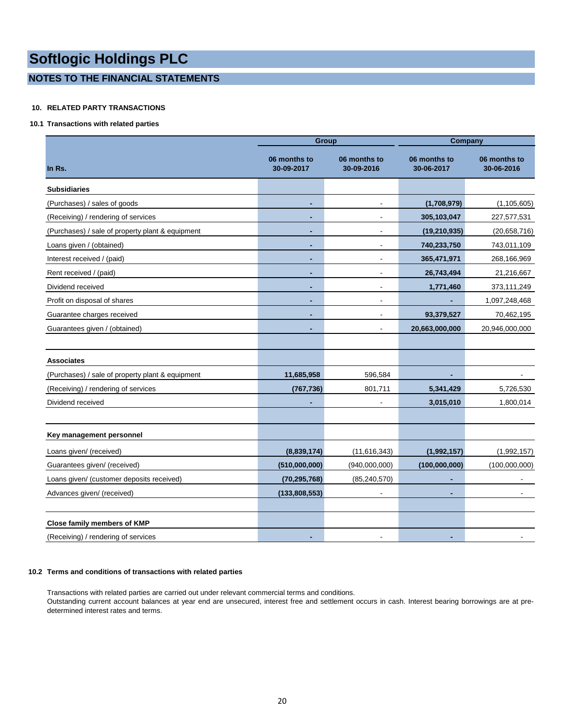#### **NOTES TO THE FINANCIAL STATEMENTS**

#### **10. RELATED PARTY TRANSACTIONS**

#### **10.1 Transactions with related parties**

|                                                  |                            | <b>Group</b>               | <b>Company</b>             |                            |  |  |
|--------------------------------------------------|----------------------------|----------------------------|----------------------------|----------------------------|--|--|
| In Rs.                                           | 06 months to<br>30-09-2017 | 06 months to<br>30-09-2016 | 06 months to<br>30-06-2017 | 06 months to<br>30-06-2016 |  |  |
| <b>Subsidiaries</b>                              |                            |                            |                            |                            |  |  |
| (Purchases) / sales of goods                     |                            | $\overline{\phantom{a}}$   | (1,708,979)                | (1, 105, 605)              |  |  |
| (Receiving) / rendering of services              |                            | $\blacksquare$             | 305,103,047                | 227,577,531                |  |  |
| (Purchases) / sale of property plant & equipment |                            | $\overline{\phantom{a}}$   | (19, 210, 935)             | (20, 658, 716)             |  |  |
| Loans given / (obtained)                         |                            | $\overline{\phantom{a}}$   | 740,233,750                | 743,011,109                |  |  |
| Interest received / (paid)                       |                            |                            | 365,471,971                | 268,166,969                |  |  |
| Rent received / (paid)                           |                            |                            | 26,743,494                 | 21,216,667                 |  |  |
| Dividend received                                |                            |                            | 1,771,460                  | 373,111,249                |  |  |
| Profit on disposal of shares                     | ۰                          | $\overline{\phantom{a}}$   |                            | 1,097,248,468              |  |  |
| Guarantee charges received                       |                            | $\overline{\phantom{a}}$   | 93,379,527                 | 70,462,195                 |  |  |
| Guarantees given / (obtained)                    |                            | $\overline{\phantom{a}}$   | 20,663,000,000             | 20,946,000,000             |  |  |
|                                                  |                            |                            |                            |                            |  |  |
| <b>Associates</b>                                |                            |                            |                            |                            |  |  |
| (Purchases) / sale of property plant & equipment | 11,685,958                 | 596,584                    |                            |                            |  |  |
| (Receiving) / rendering of services              | (767, 736)                 | 801,711                    | 5,341,429                  | 5,726,530                  |  |  |
| Dividend received                                |                            |                            | 3,015,010                  | 1,800,014                  |  |  |
|                                                  |                            |                            |                            |                            |  |  |
| Key management personnel                         |                            |                            |                            |                            |  |  |
| Loans given/ (received)                          | (8,839,174)                | (11, 616, 343)             | (1,992,157)                | (1,992,157)                |  |  |
| Guarantees given/ (received)                     | (510,000,000)              | (940,000,000)              | (100,000,000)              | (100,000,000)              |  |  |
| Loans given/ (customer deposits received)        | (70, 295, 768)             | (85, 240, 570)             |                            |                            |  |  |
| Advances given/ (received)                       | (133,808,553)              |                            |                            |                            |  |  |
|                                                  |                            |                            |                            |                            |  |  |
| <b>Close family members of KMP</b>               |                            |                            |                            |                            |  |  |
| (Receiving) / rendering of services              |                            |                            |                            |                            |  |  |

#### **10.2 Terms and conditions of transactions with related parties**

Transactions with related parties are carried out under relevant commercial terms and conditions. Outstanding current account balances at year end are unsecured, interest free and settlement occurs in cash. Interest bearing borrowings are at predetermined interest rates and terms.